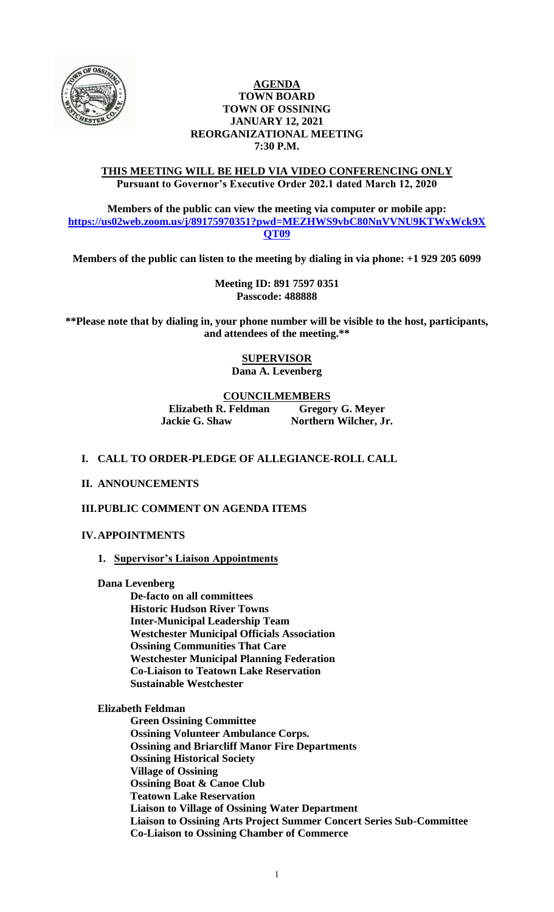

### **AGENDA TOWN BOARD TOWN OF OSSINING JANUARY 12, 2021 REORGANIZATIONAL MEETING 7:30 P.M.**

### **THIS MEETING WILL BE HELD VIA VIDEO CONFERENCING ONLY Pursuant to Governor's Executive Order 202.1 dated March 12, 2020**

**Members of the public can view the meeting via computer or mobile app: [https://us02web.zoom.us/j/89175970351?pwd=MEZHWS9vbC80NnVVNU9KTWxWck9X](https://us02web.zoom.us/j/89175970351?pwd=MEZHWS9vbC80NnVVNU9KTWxWck9XQT09) [QT09](https://us02web.zoom.us/j/89175970351?pwd=MEZHWS9vbC80NnVVNU9KTWxWck9XQT09)**

**Members of the public can listen to the meeting by dialing in via phone: +1 929 205 6099** 

**Meeting ID: 891 7597 0351 Passcode: 488888**

**\*\*Please note that by dialing in, your phone number will be visible to the host, participants, and attendees of the meeting.\*\***

> **SUPERVISOR Dana A. Levenberg**

### **COUNCILMEMBERS**

**Elizabeth R. Feldman Gregory G. Meyer Jackie G. Shaw Northern Wilcher, Jr.**

### **I. CALL TO ORDER-PLEDGE OF ALLEGIANCE-ROLL CALL**

**II. ANNOUNCEMENTS**

**III.PUBLIC COMMENT ON AGENDA ITEMS**

#### **IV.APPOINTMENTS**

**1. Supervisor's Liaison Appointments**

**Dana Levenberg**

**De-facto on all committees Historic Hudson River Towns Inter-Municipal Leadership Team Westchester Municipal Officials Association Ossining Communities That Care Westchester Municipal Planning Federation Co-Liaison to Teatown Lake Reservation Sustainable Westchester**

#### **Elizabeth Feldman**

**Green Ossining Committee Ossining Volunteer Ambulance Corps. Ossining and Briarcliff Manor Fire Departments Ossining Historical Society Village of Ossining Ossining Boat & Canoe Club Teatown Lake Reservation Liaison to Village of Ossining Water Department Liaison to Ossining Arts Project Summer Concert Series Sub-Committee Co-Liaison to Ossining Chamber of Commerce**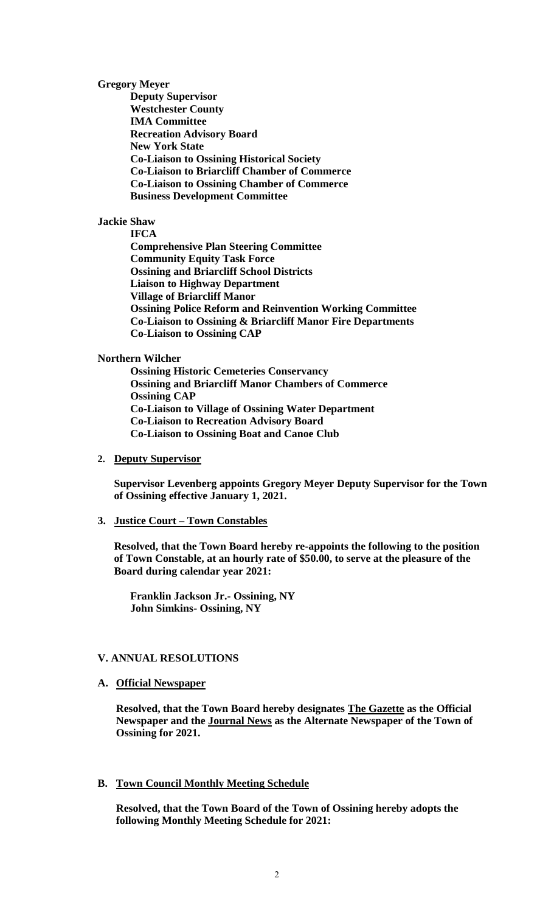**Gregory Meyer**

**Deputy Supervisor Westchester County IMA Committee Recreation Advisory Board New York State Co-Liaison to Ossining Historical Society Co-Liaison to Briarcliff Chamber of Commerce Co-Liaison to Ossining Chamber of Commerce Business Development Committee**

#### **Jackie Shaw**

**IFCA Comprehensive Plan Steering Committee Community Equity Task Force Ossining and Briarcliff School Districts Liaison to Highway Department Village of Briarcliff Manor Ossining Police Reform and Reinvention Working Committee Co-Liaison to Ossining & Briarcliff Manor Fire Departments Co-Liaison to Ossining CAP**

#### **Northern Wilcher**

**Ossining Historic Cemeteries Conservancy Ossining and Briarcliff Manor Chambers of Commerce Ossining CAP Co-Liaison to Village of Ossining Water Department Co-Liaison to Recreation Advisory Board Co-Liaison to Ossining Boat and Canoe Club**

#### **2. Deputy Supervisor**

**Supervisor Levenberg appoints Gregory Meyer Deputy Supervisor for the Town of Ossining effective January 1, 2021.**

### **3. Justice Court – Town Constables**

**Resolved, that the Town Board hereby re-appoints the following to the position of Town Constable, at an hourly rate of \$50.00, to serve at the pleasure of the Board during calendar year 2021:**

**Franklin Jackson Jr.- Ossining, NY John Simkins- Ossining, NY**

#### **V. ANNUAL RESOLUTIONS**

#### **A. Official Newspaper**

**Resolved, that the Town Board hereby designates The Gazette as the Official Newspaper and the Journal News as the Alternate Newspaper of the Town of Ossining for 2021.**

# **B. Town Council Monthly Meeting Schedule**

**Resolved, that the Town Board of the Town of Ossining hereby adopts the following Monthly Meeting Schedule for 2021:**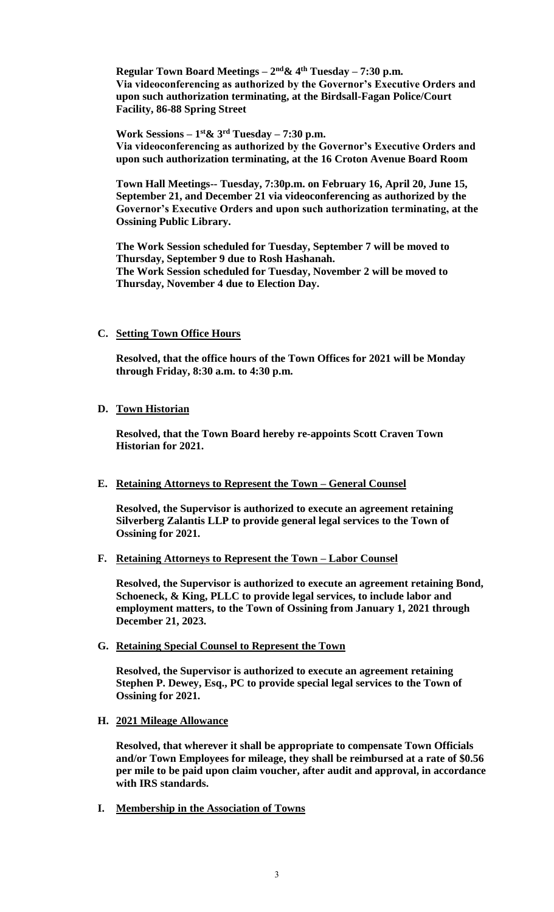**Regular Town Board Meetings – 2 nd& 4th Tuesday – 7:30 p.m. Via videoconferencing as authorized by the Governor's Executive Orders and upon such authorization terminating, at the Birdsall-Fagan Police/Court Facility, 86-88 Spring Street**

**Work Sessions – 1 st& 3rd Tuesday – 7:30 p.m. Via videoconferencing as authorized by the Governor's Executive Orders and upon such authorization terminating, at the 16 Croton Avenue Board Room**

**Town Hall Meetings-- Tuesday, 7:30p.m. on February 16, April 20, June 15, September 21, and December 21 via videoconferencing as authorized by the Governor's Executive Orders and upon such authorization terminating, at the Ossining Public Library.**

**The Work Session scheduled for Tuesday, September 7 will be moved to Thursday, September 9 due to Rosh Hashanah. The Work Session scheduled for Tuesday, November 2 will be moved to Thursday, November 4 due to Election Day.**

# **C. Setting Town Office Hours**

**Resolved, that the office hours of the Town Offices for 2021 will be Monday through Friday, 8:30 a.m. to 4:30 p.m.**

# **D. Town Historian**

**Resolved, that the Town Board hereby re-appoints Scott Craven Town Historian for 2021.**

# **E. Retaining Attorneys to Represent the Town – General Counsel**

**Resolved, the Supervisor is authorized to execute an agreement retaining Silverberg Zalantis LLP to provide general legal services to the Town of Ossining for 2021.** 

# **F. Retaining Attorneys to Represent the Town – Labor Counsel**

**Resolved, the Supervisor is authorized to execute an agreement retaining Bond, Schoeneck, & King, PLLC to provide legal services, to include labor and employment matters, to the Town of Ossining from January 1, 2021 through December 21, 2023.** 

**G. Retaining Special Counsel to Represent the Town**

**Resolved, the Supervisor is authorized to execute an agreement retaining Stephen P. Dewey, Esq., PC to provide special legal services to the Town of Ossining for 2021.** 

**H. 2021 Mileage Allowance**

**Resolved, that wherever it shall be appropriate to compensate Town Officials and/or Town Employees for mileage, they shall be reimbursed at a rate of \$0.56 per mile to be paid upon claim voucher, after audit and approval, in accordance with IRS standards.**

**I. Membership in the Association of Towns**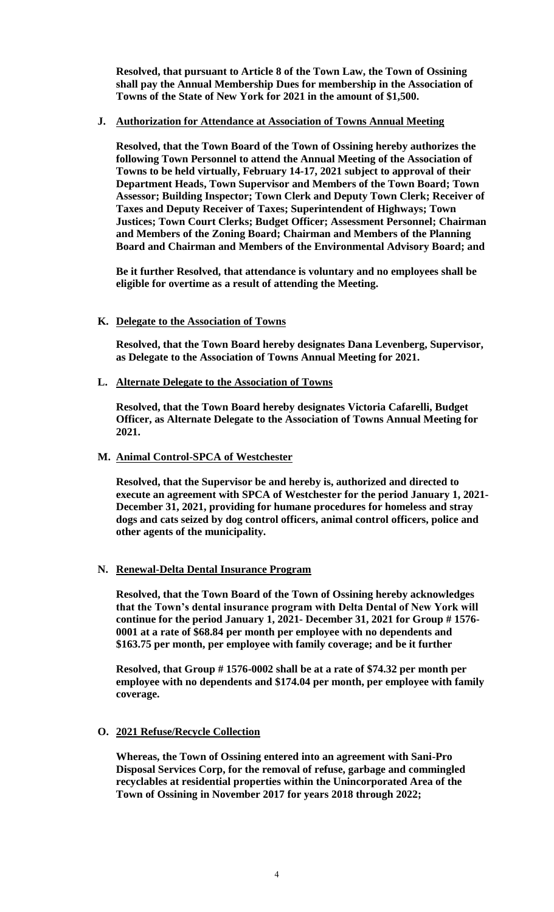**Resolved, that pursuant to Article 8 of the Town Law, the Town of Ossining shall pay the Annual Membership Dues for membership in the Association of Towns of the State of New York for 2021 in the amount of \$1,500.**

### **J. Authorization for Attendance at Association of Towns Annual Meeting**

**Resolved, that the Town Board of the Town of Ossining hereby authorizes the following Town Personnel to attend the Annual Meeting of the Association of Towns to be held virtually, February 14-17, 2021 subject to approval of their Department Heads, Town Supervisor and Members of the Town Board; Town Assessor; Building Inspector; Town Clerk and Deputy Town Clerk; Receiver of Taxes and Deputy Receiver of Taxes; Superintendent of Highways; Town Justices; Town Court Clerks; Budget Officer; Assessment Personnel; Chairman and Members of the Zoning Board; Chairman and Members of the Planning Board and Chairman and Members of the Environmental Advisory Board; and**

**Be it further Resolved, that attendance is voluntary and no employees shall be eligible for overtime as a result of attending the Meeting.**

# **K. Delegate to the Association of Towns**

**Resolved, that the Town Board hereby designates Dana Levenberg, Supervisor, as Delegate to the Association of Towns Annual Meeting for 2021.**

**L. Alternate Delegate to the Association of Towns**

**Resolved, that the Town Board hereby designates Victoria Cafarelli, Budget Officer, as Alternate Delegate to the Association of Towns Annual Meeting for 2021.**

#### **M. Animal Control-SPCA of Westchester**

**Resolved, that the Supervisor be and hereby is, authorized and directed to execute an agreement with SPCA of Westchester for the period January 1, 2021- December 31, 2021, providing for humane procedures for homeless and stray dogs and cats seized by dog control officers, animal control officers, police and other agents of the municipality.**

#### **N. Renewal-Delta Dental Insurance Program**

**Resolved, that the Town Board of the Town of Ossining hereby acknowledges that the Town's dental insurance program with Delta Dental of New York will continue for the period January 1, 2021- December 31, 2021 for Group # 1576- 0001 at a rate of \$68.84 per month per employee with no dependents and \$163.75 per month, per employee with family coverage; and be it further**

**Resolved, that Group # 1576-0002 shall be at a rate of \$74.32 per month per employee with no dependents and \$174.04 per month, per employee with family coverage.**

# **O. 2021 Refuse/Recycle Collection**

**Whereas, the Town of Ossining entered into an agreement with Sani-Pro Disposal Services Corp, for the removal of refuse, garbage and commingled recyclables at residential properties within the Unincorporated Area of the Town of Ossining in November 2017 for years 2018 through 2022;**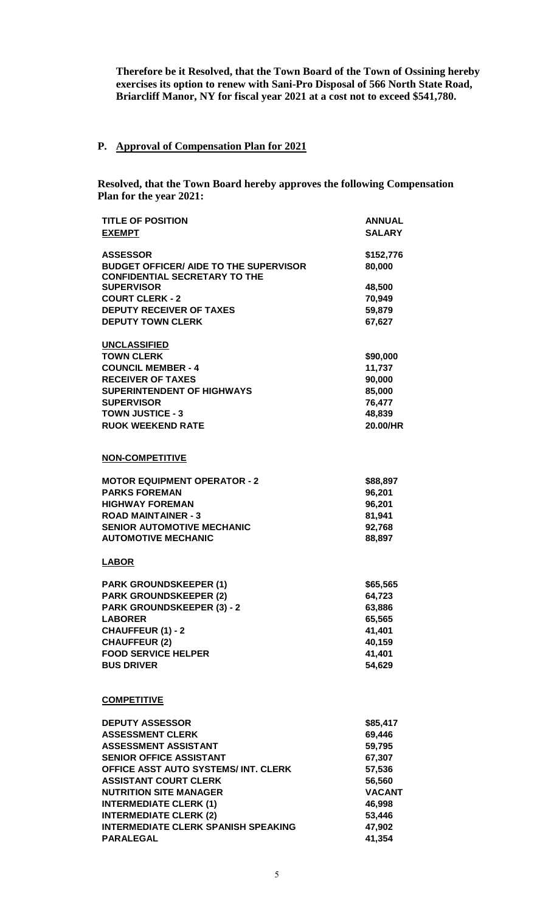**Therefore be it Resolved, that the Town Board of the Town of Ossining hereby exercises its option to renew with Sani-Pro Disposal of 566 North State Road, Briarcliff Manor, NY for fiscal year 2021 at a cost not to exceed \$541,780.**

# **P. Approval of Compensation Plan for 2021**

**Resolved, that the Town Board hereby approves the following Compensation Plan for the year 2021:**

| <b>TITLE OF POSITION</b><br><b>EXEMPT</b>                                                                | <b>ANNUAL</b><br><b>SALARY</b> |
|----------------------------------------------------------------------------------------------------------|--------------------------------|
| <b>ASSESSOR</b><br><b>BUDGET OFFICER/ AIDE TO THE SUPERVISOR</b><br><b>CONFIDENTIAL SECRETARY TO THE</b> | \$152,776<br>80,000            |
| <b>SUPERVISOR</b>                                                                                        | 48,500                         |
| <b>COURT CLERK - 2</b>                                                                                   | 70,949                         |
| <b>DEPUTY RECEIVER OF TAXES</b>                                                                          | 59,879                         |
| <b>DEPUTY TOWN CLERK</b>                                                                                 | 67,627                         |
| <b>UNCLASSIFIED</b>                                                                                      |                                |
| <b>TOWN CLERK</b>                                                                                        | \$90,000                       |
| <b>COUNCIL MEMBER - 4</b>                                                                                | 11,737                         |
| <b>RECEIVER OF TAXES</b>                                                                                 | 90,000                         |
| <b>SUPERINTENDENT OF HIGHWAYS</b>                                                                        | 85,000                         |
| <b>SUPERVISOR</b>                                                                                        | 76,477                         |
| <b>TOWN JUSTICE - 3</b><br><b>RUOK WEEKEND RATE</b>                                                      | 48,839<br>20.00/HR             |
|                                                                                                          |                                |
| <b>NON-COMPETITIVE</b>                                                                                   |                                |
| <b>MOTOR EQUIPMENT OPERATOR - 2</b>                                                                      | \$88,897                       |
| <b>PARKS FOREMAN</b>                                                                                     | 96,201                         |
| <b>HIGHWAY FOREMAN</b>                                                                                   | 96,201                         |
| <b>ROAD MAINTAINER - 3</b>                                                                               | 81,941                         |
| <b>SENIOR AUTOMOTIVE MECHANIC</b>                                                                        | 92,768                         |
| <b>AUTOMOTIVE MECHANIC</b>                                                                               | 88,897                         |
| <b>LABOR</b>                                                                                             |                                |
| <b>PARK GROUNDSKEEPER (1)</b>                                                                            | \$65,565                       |
| <b>PARK GROUNDSKEEPER (2)</b>                                                                            | 64,723                         |
| <b>PARK GROUNDSKEEPER (3) - 2</b>                                                                        | 63,886                         |
| <b>LABORER</b>                                                                                           | 65,565                         |
| <b>CHAUFFEUR (1) - 2</b>                                                                                 | 41,401                         |
| <b>CHAUFFEUR (2)</b><br><b>FOOD SERVICE HELPER</b>                                                       | 40,159<br>41,401               |
| <b>BUS DRIVER</b>                                                                                        | 54,629                         |
|                                                                                                          |                                |
| <b>COMPETITIVE</b>                                                                                       |                                |
| <b>DEPUTY ASSESSOR</b>                                                                                   | \$85,417                       |
| <b>ASSESSMENT CLERK</b>                                                                                  | 69,446                         |
| <b>ASSESSMENT ASSISTANT</b>                                                                              | 59,795                         |
| <b>SENIOR OFFICE ASSISTANT</b>                                                                           | 67,307                         |
| OFFICE ASST AUTO SYSTEMS/INT. CLERK                                                                      | 57,536                         |
| <b>ASSISTANT COURT CLERK</b>                                                                             | 56,560                         |
| <b>NUTRITION SITE MANAGER</b><br><b>INTERMEDIATE CLERK (1)</b>                                           | <b>VACANT</b><br>46,998        |
| <b>INTERMEDIATE CLERK (2)</b>                                                                            | 53,446                         |
| <b>INTERMEDIATE CLERK SPANISH SPEAKING</b>                                                               | 47,902                         |
| <b>PARALEGAL</b>                                                                                         | 41,354                         |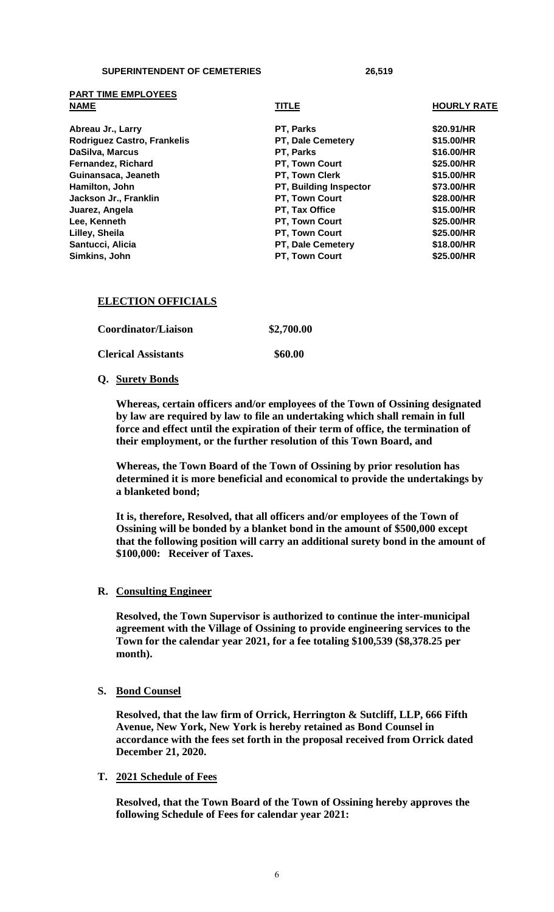**PART TIME EMPLOYEES**

| <b>NAME</b>                        | <b>TITLE</b>           | <b>HOURLY RATE</b> |
|------------------------------------|------------------------|--------------------|
| Abreau Jr., Larry                  | PT, Parks              | \$20.91/HR         |
| <b>Rodriguez Castro, Frankelis</b> | PT, Dale Cemetery      | \$15.00/HR         |
| DaSilva, Marcus                    | PT, Parks              | \$16.00/HR         |
| Fernandez, Richard                 | PT, Town Court         | \$25.00/HR         |
| Guinansaca, Jeaneth                | PT, Town Clerk         | \$15.00/HR         |
| Hamilton, John                     | PT, Building Inspector | \$73.00/HR         |
| Jackson Jr., Franklin              | PT, Town Court         | \$28.00/HR         |
| Juarez, Angela                     | PT, Tax Office         | \$15.00/HR         |
| Lee, Kenneth                       | PT, Town Court         | \$25.00/HR         |
| Lilley, Sheila                     | PT, Town Court         | \$25.00/HR         |
| Santucci, Alicia                   | PT, Dale Cemetery      | \$18.00/HR         |
| Simkins, John                      | PT, Town Court         | \$25.00/HR         |

#### **ELECTION OFFICIALS**

| Coordinator/Liaison        | \$2,700.00 |
|----------------------------|------------|
| <b>Clerical Assistants</b> | \$60.00    |

#### **Q. Surety Bonds**

**Whereas, certain officers and/or employees of the Town of Ossining designated by law are required by law to file an undertaking which shall remain in full force and effect until the expiration of their term of office, the termination of their employment, or the further resolution of this Town Board, and**

**Whereas, the Town Board of the Town of Ossining by prior resolution has determined it is more beneficial and economical to provide the undertakings by a blanketed bond;**

**It is, therefore, Resolved, that all officers and/or employees of the Town of Ossining will be bonded by a blanket bond in the amount of \$500,000 except that the following position will carry an additional surety bond in the amount of \$100,000: Receiver of Taxes.**

#### **R. Consulting Engineer**

**Resolved, the Town Supervisor is authorized to continue the inter-municipal agreement with the Village of Ossining to provide engineering services to the Town for the calendar year 2021, for a fee totaling \$100,539 (\$8,378.25 per month).**

**S. Bond Counsel**

**Resolved, that the law firm of Orrick, Herrington & Sutcliff, LLP, 666 Fifth Avenue, New York, New York is hereby retained as Bond Counsel in accordance with the fees set forth in the proposal received from Orrick dated December 21, 2020.**

#### **T. 2021 Schedule of Fees**

**Resolved, that the Town Board of the Town of Ossining hereby approves the following Schedule of Fees for calendar year 2021:**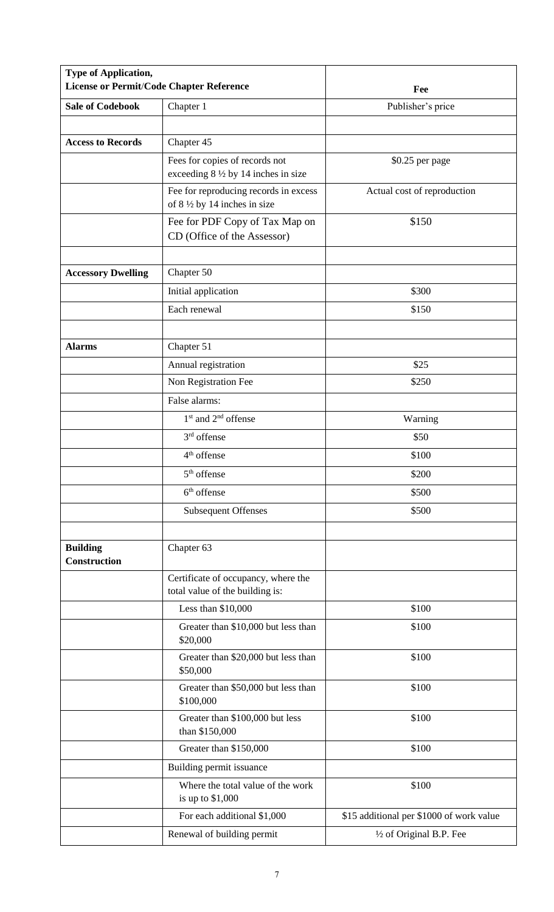| Type of Application,<br>License or Permit/Code Chapter Reference |                                                                                 | Fee                                      |
|------------------------------------------------------------------|---------------------------------------------------------------------------------|------------------------------------------|
| <b>Sale of Codebook</b>                                          | Chapter 1                                                                       | Publisher's price                        |
|                                                                  |                                                                                 |                                          |
| <b>Access to Records</b>                                         | Chapter 45                                                                      |                                          |
|                                                                  | Fees for copies of records not<br>exceeding $8\frac{1}{2}$ by 14 inches in size | \$0.25 per page                          |
|                                                                  | Fee for reproducing records in excess<br>of $8\frac{1}{2}$ by 14 inches in size | Actual cost of reproduction              |
|                                                                  | Fee for PDF Copy of Tax Map on<br>CD (Office of the Assessor)                   | \$150                                    |
| <b>Accessory Dwelling</b>                                        | Chapter 50                                                                      |                                          |
|                                                                  | Initial application                                                             | \$300                                    |
|                                                                  | Each renewal                                                                    | \$150                                    |
| <b>Alarms</b>                                                    | Chapter 51                                                                      |                                          |
|                                                                  | Annual registration                                                             | \$25                                     |
|                                                                  | Non Registration Fee                                                            | \$250                                    |
|                                                                  | False alarms:                                                                   |                                          |
|                                                                  | $1st$ and $2nd$ offense                                                         | Warning                                  |
|                                                                  | 3 <sup>rd</sup> offense                                                         | \$50                                     |
|                                                                  | 4 <sup>th</sup> offense                                                         | \$100                                    |
|                                                                  | 5 <sup>th</sup> offense                                                         | \$200                                    |
|                                                                  | $6th$ offense                                                                   | \$500                                    |
|                                                                  | <b>Subsequent Offenses</b>                                                      | \$500                                    |
| <b>Building</b><br><b>Construction</b>                           | Chapter 63                                                                      |                                          |
|                                                                  | Certificate of occupancy, where the<br>total value of the building is:          |                                          |
|                                                                  | Less than $$10,000$                                                             | \$100                                    |
|                                                                  | Greater than \$10,000 but less than<br>\$20,000                                 | \$100                                    |
|                                                                  | Greater than \$20,000 but less than<br>\$50,000                                 | \$100                                    |
|                                                                  | Greater than \$50,000 but less than<br>\$100,000                                | \$100                                    |
|                                                                  | Greater than \$100,000 but less<br>than \$150,000                               | \$100                                    |
|                                                                  | Greater than \$150,000                                                          | \$100                                    |
|                                                                  | Building permit issuance                                                        |                                          |
|                                                                  | Where the total value of the work<br>is up to $$1,000$                          | \$100                                    |
|                                                                  | For each additional \$1,000                                                     | \$15 additional per \$1000 of work value |
|                                                                  | Renewal of building permit                                                      | 1/2 of Original B.P. Fee                 |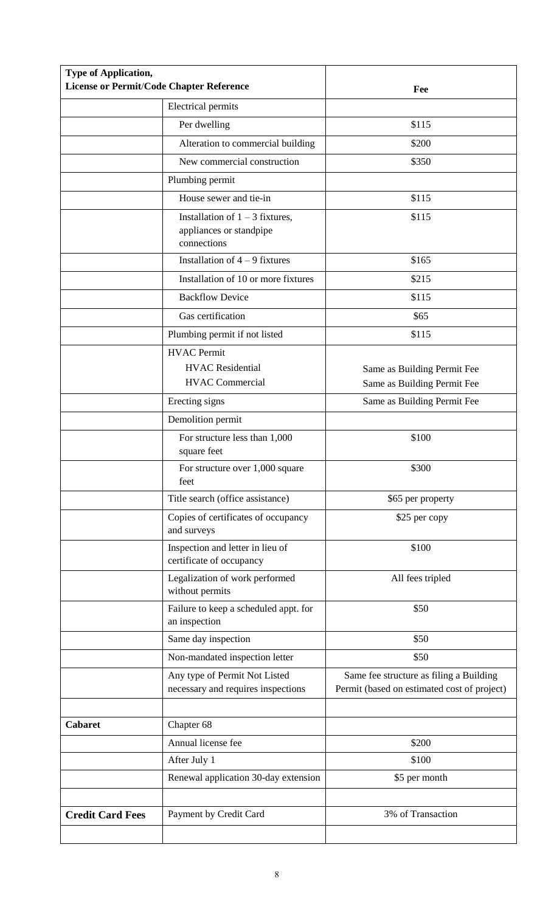| Type of Application,    | <b>License or Permit/Code Chapter Reference</b>                             | Fee                                                                                    |
|-------------------------|-----------------------------------------------------------------------------|----------------------------------------------------------------------------------------|
|                         | <b>Electrical permits</b>                                                   |                                                                                        |
|                         | Per dwelling                                                                | \$115                                                                                  |
|                         | Alteration to commercial building                                           | \$200                                                                                  |
|                         | New commercial construction                                                 | \$350                                                                                  |
|                         | Plumbing permit                                                             |                                                                                        |
|                         | House sewer and tie-in                                                      | \$115                                                                                  |
|                         | Installation of $1 - 3$ fixtures,<br>appliances or standpipe<br>connections | \$115                                                                                  |
|                         | Installation of $4 - 9$ fixtures                                            | \$165                                                                                  |
|                         | Installation of 10 or more fixtures                                         | \$215                                                                                  |
|                         | <b>Backflow Device</b>                                                      | \$115                                                                                  |
|                         | Gas certification                                                           | \$65                                                                                   |
|                         | Plumbing permit if not listed                                               | \$115                                                                                  |
|                         | <b>HVAC</b> Permit<br><b>HVAC</b> Residential<br><b>HVAC Commercial</b>     | Same as Building Permit Fee                                                            |
|                         |                                                                             | Same as Building Permit Fee                                                            |
|                         | Erecting signs                                                              | Same as Building Permit Fee                                                            |
|                         | Demolition permit                                                           |                                                                                        |
|                         | For structure less than 1,000<br>square feet                                | \$100                                                                                  |
|                         | For structure over 1,000 square<br>feet                                     | \$300                                                                                  |
|                         | Title search (office assistance)                                            | \$65 per property                                                                      |
|                         | Copies of certificates of occupancy<br>and surveys                          | \$25 per copy                                                                          |
|                         | Inspection and letter in lieu of<br>certificate of occupancy                | \$100                                                                                  |
|                         | Legalization of work performed<br>without permits                           | All fees tripled                                                                       |
|                         | Failure to keep a scheduled appt. for<br>an inspection                      | \$50                                                                                   |
|                         | Same day inspection                                                         | \$50                                                                                   |
|                         | Non-mandated inspection letter                                              | \$50                                                                                   |
|                         | Any type of Permit Not Listed<br>necessary and requires inspections         | Same fee structure as filing a Building<br>Permit (based on estimated cost of project) |
|                         |                                                                             |                                                                                        |
| <b>Cabaret</b>          | Chapter 68                                                                  |                                                                                        |
|                         | Annual license fee                                                          | \$200                                                                                  |
|                         | After July 1                                                                | \$100                                                                                  |
|                         | Renewal application 30-day extension                                        | \$5 per month                                                                          |
|                         |                                                                             |                                                                                        |
| <b>Credit Card Fees</b> | Payment by Credit Card                                                      | 3% of Transaction                                                                      |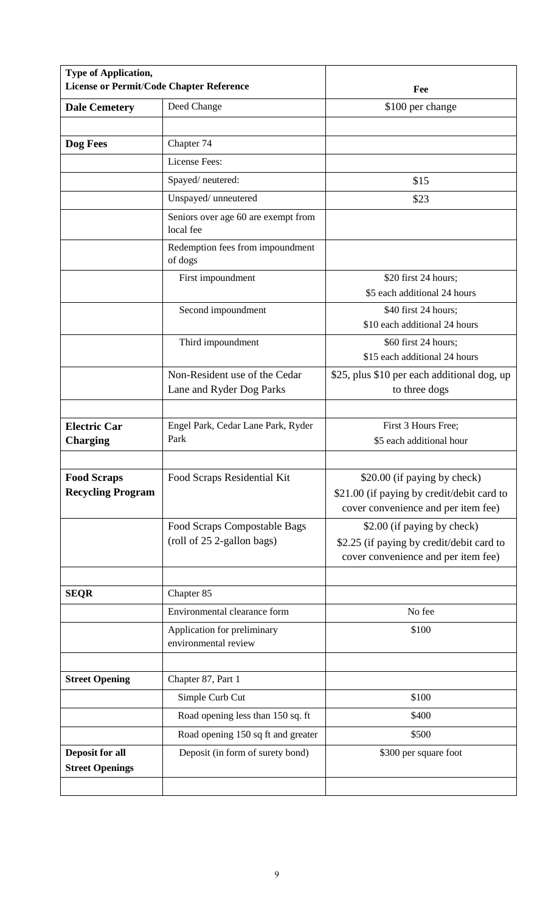| <b>Type of Application,</b><br>License or Permit/Code Chapter Reference |                                                            | Fee                                                                                                               |
|-------------------------------------------------------------------------|------------------------------------------------------------|-------------------------------------------------------------------------------------------------------------------|
| <b>Dale Cemetery</b>                                                    | Deed Change                                                | \$100 per change                                                                                                  |
|                                                                         |                                                            |                                                                                                                   |
| Dog Fees                                                                | Chapter 74                                                 |                                                                                                                   |
|                                                                         | License Fees:                                              |                                                                                                                   |
|                                                                         | Spayed/neutered:                                           | \$15                                                                                                              |
|                                                                         | Unspayed/ unneutered                                       | \$23                                                                                                              |
|                                                                         | Seniors over age 60 are exempt from<br>local fee           |                                                                                                                   |
|                                                                         | Redemption fees from impoundment<br>of dogs                |                                                                                                                   |
|                                                                         | First impoundment                                          | \$20 first 24 hours;<br>\$5 each additional 24 hours                                                              |
|                                                                         | Second impoundment                                         | \$40 first 24 hours;<br>\$10 each additional 24 hours                                                             |
|                                                                         | Third impoundment                                          | \$60 first 24 hours;<br>\$15 each additional 24 hours                                                             |
|                                                                         | Non-Resident use of the Cedar<br>Lane and Ryder Dog Parks  | \$25, plus \$10 per each additional dog, up<br>to three dogs                                                      |
|                                                                         |                                                            |                                                                                                                   |
| <b>Electric Car</b><br><b>Charging</b>                                  | Engel Park, Cedar Lane Park, Ryder<br>Park                 | First 3 Hours Free;<br>\$5 each additional hour                                                                   |
|                                                                         |                                                            |                                                                                                                   |
| <b>Food Scraps</b><br><b>Recycling Program</b>                          | Food Scraps Residential Kit                                | \$20.00 (if paying by check)<br>\$21.00 (if paying by credit/debit card to<br>cover convenience and per item fee) |
|                                                                         | Food Scraps Compostable Bags<br>(roll of 25 2-gallon bags) | \$2.00 (if paying by check)<br>\$2.25 (if paying by credit/debit card to<br>cover convenience and per item fee)   |
| <b>SEQR</b>                                                             | Chapter 85                                                 |                                                                                                                   |
|                                                                         | Environmental clearance form                               | No fee                                                                                                            |
|                                                                         | Application for preliminary<br>environmental review        | \$100                                                                                                             |
|                                                                         |                                                            |                                                                                                                   |
| <b>Street Opening</b>                                                   | Chapter 87, Part 1                                         |                                                                                                                   |
|                                                                         | Simple Curb Cut                                            | \$100                                                                                                             |
|                                                                         | Road opening less than 150 sq. ft                          | \$400                                                                                                             |
|                                                                         | Road opening 150 sq ft and greater                         | \$500                                                                                                             |
| Deposit for all<br><b>Street Openings</b>                               | Deposit (in form of surety bond)                           | \$300 per square foot                                                                                             |
|                                                                         |                                                            |                                                                                                                   |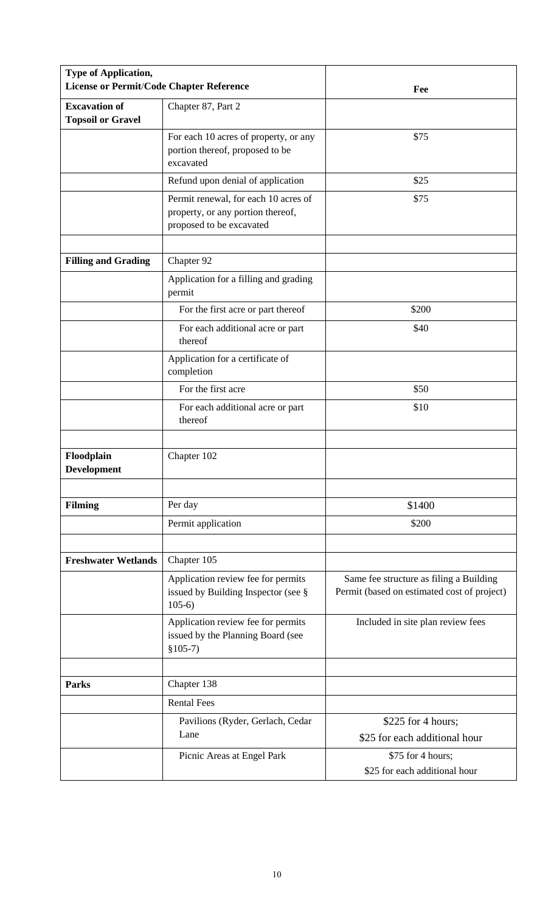| Type of Application,<br><b>License or Permit/Code Chapter Reference</b> |                                                                                                       | Fee                                                                                    |
|-------------------------------------------------------------------------|-------------------------------------------------------------------------------------------------------|----------------------------------------------------------------------------------------|
| <b>Excavation of</b><br><b>Topsoil or Gravel</b>                        | Chapter 87, Part 2                                                                                    |                                                                                        |
|                                                                         | For each 10 acres of property, or any<br>portion thereof, proposed to be<br>excavated                 | \$75                                                                                   |
|                                                                         | Refund upon denial of application                                                                     | \$25                                                                                   |
|                                                                         | Permit renewal, for each 10 acres of<br>property, or any portion thereof,<br>proposed to be excavated | \$75                                                                                   |
| <b>Filling and Grading</b>                                              | Chapter 92                                                                                            |                                                                                        |
|                                                                         | Application for a filling and grading<br>permit                                                       |                                                                                        |
|                                                                         | For the first acre or part thereof                                                                    | \$200                                                                                  |
|                                                                         | For each additional acre or part<br>thereof                                                           | \$40                                                                                   |
|                                                                         | Application for a certificate of<br>completion                                                        |                                                                                        |
|                                                                         | For the first acre                                                                                    | \$50                                                                                   |
|                                                                         | For each additional acre or part<br>thereof                                                           | \$10                                                                                   |
| Floodplain<br>Development                                               | Chapter 102                                                                                           |                                                                                        |
| <b>Filming</b>                                                          | Per day                                                                                               | \$1400                                                                                 |
|                                                                         | Permit application                                                                                    | \$200                                                                                  |
|                                                                         |                                                                                                       |                                                                                        |
| <b>Freshwater Wetlands</b>                                              | Chapter 105                                                                                           |                                                                                        |
|                                                                         | Application review fee for permits<br>issued by Building Inspector (see §<br>$105-6$                  | Same fee structure as filing a Building<br>Permit (based on estimated cost of project) |
|                                                                         | Application review fee for permits<br>issued by the Planning Board (see<br>$$105-7)$                  | Included in site plan review fees                                                      |
|                                                                         |                                                                                                       |                                                                                        |
| <b>Parks</b>                                                            | Chapter 138                                                                                           |                                                                                        |
|                                                                         | <b>Rental Fees</b>                                                                                    |                                                                                        |
|                                                                         | Pavilions (Ryder, Gerlach, Cedar<br>Lane                                                              | \$225 for 4 hours;<br>\$25 for each additional hour                                    |
|                                                                         | Picnic Areas at Engel Park                                                                            | \$75 for 4 hours;<br>\$25 for each additional hour                                     |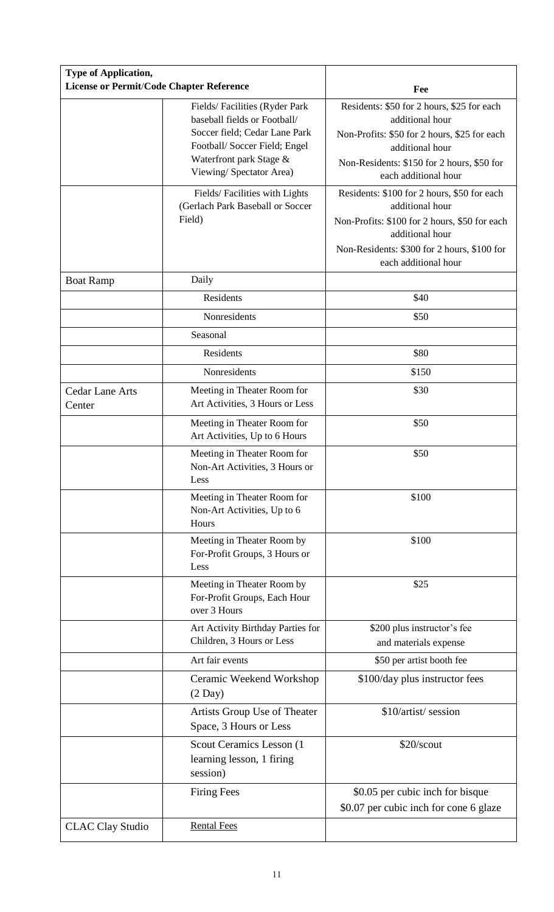| <b>Type of Application,</b><br><b>License or Permit/Code Chapter Reference</b> |                                                                                                                                                                                      | Fee                                                                                                                                                                                                       |
|--------------------------------------------------------------------------------|--------------------------------------------------------------------------------------------------------------------------------------------------------------------------------------|-----------------------------------------------------------------------------------------------------------------------------------------------------------------------------------------------------------|
|                                                                                | Fields/Facilities (Ryder Park<br>baseball fields or Football/<br>Soccer field; Cedar Lane Park<br>Football/Soccer Field; Engel<br>Waterfront park Stage &<br>Viewing/Spectator Area) | Residents: \$50 for 2 hours, \$25 for each<br>additional hour<br>Non-Profits: \$50 for 2 hours, \$25 for each<br>additional hour<br>Non-Residents: \$150 for 2 hours, \$50 for<br>each additional hour    |
|                                                                                | Fields/Facilities with Lights<br>(Gerlach Park Baseball or Soccer<br>Field)                                                                                                          | Residents: \$100 for 2 hours, \$50 for each<br>additional hour<br>Non-Profits: \$100 for 2 hours, \$50 for each<br>additional hour<br>Non-Residents: \$300 for 2 hours, \$100 for<br>each additional hour |
| <b>Boat Ramp</b>                                                               | Daily                                                                                                                                                                                |                                                                                                                                                                                                           |
|                                                                                | Residents                                                                                                                                                                            | \$40                                                                                                                                                                                                      |
|                                                                                | Nonresidents                                                                                                                                                                         | \$50                                                                                                                                                                                                      |
|                                                                                | Seasonal                                                                                                                                                                             |                                                                                                                                                                                                           |
|                                                                                | Residents                                                                                                                                                                            | \$80                                                                                                                                                                                                      |
|                                                                                | Nonresidents                                                                                                                                                                         | \$150                                                                                                                                                                                                     |
| <b>Cedar Lane Arts</b><br>Center                                               | Meeting in Theater Room for<br>Art Activities, 3 Hours or Less                                                                                                                       | \$30                                                                                                                                                                                                      |
|                                                                                | Meeting in Theater Room for<br>Art Activities, Up to 6 Hours                                                                                                                         | \$50                                                                                                                                                                                                      |
|                                                                                | Meeting in Theater Room for<br>Non-Art Activities, 3 Hours or<br>Less                                                                                                                | \$50                                                                                                                                                                                                      |
|                                                                                | Meeting in Theater Room for<br>Non-Art Activities, Up to 6<br>Hours                                                                                                                  | \$100                                                                                                                                                                                                     |
|                                                                                | Meeting in Theater Room by<br>For-Profit Groups, 3 Hours or<br>Less                                                                                                                  | \$100                                                                                                                                                                                                     |
|                                                                                | Meeting in Theater Room by<br>For-Profit Groups, Each Hour<br>over 3 Hours                                                                                                           | \$25                                                                                                                                                                                                      |
|                                                                                | Art Activity Birthday Parties for                                                                                                                                                    | \$200 plus instructor's fee                                                                                                                                                                               |
|                                                                                | Children, 3 Hours or Less                                                                                                                                                            | and materials expense                                                                                                                                                                                     |
|                                                                                | Art fair events                                                                                                                                                                      | \$50 per artist booth fee                                                                                                                                                                                 |
|                                                                                | Ceramic Weekend Workshop<br>$(2$ Day $)$                                                                                                                                             | \$100/day plus instructor fees                                                                                                                                                                            |
|                                                                                | Artists Group Use of Theater<br>Space, 3 Hours or Less                                                                                                                               | \$10/artist/ session                                                                                                                                                                                      |
|                                                                                | Scout Ceramics Lesson (1)<br>learning lesson, 1 firing<br>session)                                                                                                                   | \$20/scout                                                                                                                                                                                                |
|                                                                                | <b>Firing Fees</b>                                                                                                                                                                   | \$0.05 per cubic inch for bisque<br>\$0.07 per cubic inch for cone 6 glaze                                                                                                                                |
| <b>CLAC Clay Studio</b>                                                        | <b>Rental Fees</b>                                                                                                                                                                   |                                                                                                                                                                                                           |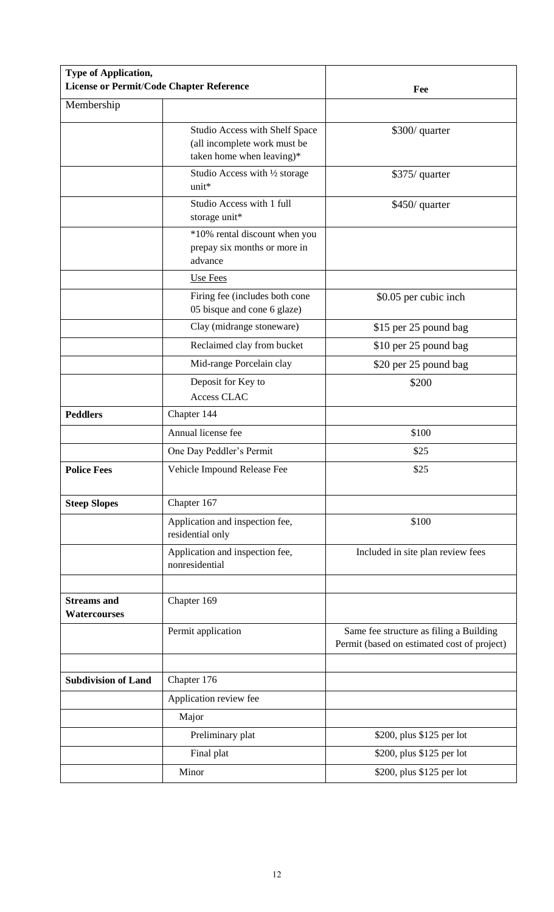| Type of Application,<br><b>License or Permit/Code Chapter Reference</b> |                                                                                             | Fee                                                                                    |
|-------------------------------------------------------------------------|---------------------------------------------------------------------------------------------|----------------------------------------------------------------------------------------|
| Membership                                                              |                                                                                             |                                                                                        |
|                                                                         | Studio Access with Shelf Space<br>(all incomplete work must be<br>taken home when leaving)* | \$300/ quarter                                                                         |
|                                                                         | Studio Access with 1/2 storage<br>unit*                                                     | \$375/ quarter                                                                         |
|                                                                         | Studio Access with 1 full<br>storage unit*                                                  | \$450/ quarter                                                                         |
|                                                                         | *10% rental discount when you<br>prepay six months or more in<br>advance                    |                                                                                        |
|                                                                         | Use Fees                                                                                    |                                                                                        |
|                                                                         | Firing fee (includes both cone<br>05 bisque and cone 6 glaze)                               | \$0.05 per cubic inch                                                                  |
|                                                                         | Clay (midrange stoneware)                                                                   | \$15 per 25 pound bag                                                                  |
|                                                                         | Reclaimed clay from bucket                                                                  | \$10 per 25 pound bag                                                                  |
|                                                                         | Mid-range Porcelain clay                                                                    | \$20 per 25 pound bag                                                                  |
|                                                                         | Deposit for Key to<br>Access CLAC                                                           | \$200                                                                                  |
| <b>Peddlers</b>                                                         | Chapter 144                                                                                 |                                                                                        |
|                                                                         | Annual license fee                                                                          | \$100                                                                                  |
|                                                                         | One Day Peddler's Permit                                                                    | \$25                                                                                   |
| <b>Police Fees</b>                                                      | Vehicle Impound Release Fee                                                                 | \$25                                                                                   |
| <b>Steep Slopes</b>                                                     | Chapter 167                                                                                 |                                                                                        |
|                                                                         | Application and inspection fee,<br>residential only                                         | \$100                                                                                  |
|                                                                         | Application and inspection fee,<br>nonresidential                                           | Included in site plan review fees                                                      |
| <b>Streams</b> and<br><b>Watercourses</b>                               | Chapter 169                                                                                 |                                                                                        |
|                                                                         | Permit application                                                                          | Same fee structure as filing a Building<br>Permit (based on estimated cost of project) |
|                                                                         |                                                                                             |                                                                                        |
| <b>Subdivision of Land</b>                                              | Chapter 176                                                                                 |                                                                                        |
|                                                                         | Application review fee                                                                      |                                                                                        |
|                                                                         | Major                                                                                       |                                                                                        |
|                                                                         | Preliminary plat                                                                            | \$200, plus \$125 per lot                                                              |
|                                                                         | Final plat                                                                                  | \$200, plus \$125 per lot                                                              |
|                                                                         | Minor                                                                                       | \$200, plus \$125 per lot                                                              |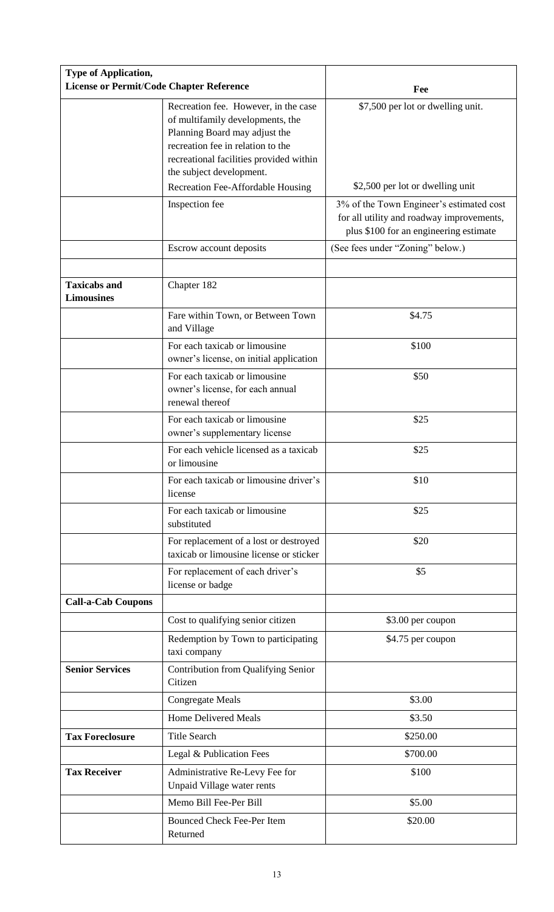| <b>Type of Application,</b><br>License or Permit/Code Chapter Reference |                                                                                                                                                                                                                       | Fee                                                                                                                             |
|-------------------------------------------------------------------------|-----------------------------------------------------------------------------------------------------------------------------------------------------------------------------------------------------------------------|---------------------------------------------------------------------------------------------------------------------------------|
|                                                                         | Recreation fee. However, in the case<br>of multifamily developments, the<br>Planning Board may adjust the<br>recreation fee in relation to the<br>recreational facilities provided within<br>the subject development. | \$7,500 per lot or dwelling unit.                                                                                               |
|                                                                         | Recreation Fee-Affordable Housing                                                                                                                                                                                     | \$2,500 per lot or dwelling unit                                                                                                |
|                                                                         | Inspection fee                                                                                                                                                                                                        | 3% of the Town Engineer's estimated cost<br>for all utility and roadway improvements,<br>plus \$100 for an engineering estimate |
|                                                                         | Escrow account deposits                                                                                                                                                                                               | (See fees under "Zoning" below.)                                                                                                |
| <b>Taxicabs and</b><br><b>Limousines</b>                                | Chapter 182                                                                                                                                                                                                           |                                                                                                                                 |
|                                                                         | Fare within Town, or Between Town<br>and Village                                                                                                                                                                      | \$4.75                                                                                                                          |
|                                                                         | For each taxicab or limousine<br>owner's license, on initial application                                                                                                                                              | \$100                                                                                                                           |
|                                                                         | For each taxicab or limousine<br>owner's license, for each annual<br>renewal thereof                                                                                                                                  | \$50                                                                                                                            |
|                                                                         | For each taxicab or limousine<br>owner's supplementary license                                                                                                                                                        | \$25                                                                                                                            |
|                                                                         | For each vehicle licensed as a taxicab<br>or limousine                                                                                                                                                                | \$25                                                                                                                            |
|                                                                         | For each taxicab or limousine driver's<br>license                                                                                                                                                                     | \$10                                                                                                                            |
|                                                                         | For each taxicab or limousine<br>substituted                                                                                                                                                                          | \$25                                                                                                                            |
|                                                                         | For replacement of a lost or destroyed<br>taxicab or limousine license or sticker                                                                                                                                     | \$20                                                                                                                            |
|                                                                         | For replacement of each driver's<br>license or badge                                                                                                                                                                  | \$5                                                                                                                             |
| <b>Call-a-Cab Coupons</b>                                               |                                                                                                                                                                                                                       |                                                                                                                                 |
|                                                                         | Cost to qualifying senior citizen                                                                                                                                                                                     | \$3.00 per coupon                                                                                                               |
|                                                                         | Redemption by Town to participating<br>taxi company                                                                                                                                                                   | \$4.75 per coupon                                                                                                               |
| <b>Senior Services</b>                                                  | Contribution from Qualifying Senior<br>Citizen                                                                                                                                                                        |                                                                                                                                 |
|                                                                         | <b>Congregate Meals</b>                                                                                                                                                                                               | \$3.00                                                                                                                          |
|                                                                         | <b>Home Delivered Meals</b>                                                                                                                                                                                           | \$3.50                                                                                                                          |
| <b>Tax Foreclosure</b>                                                  | <b>Title Search</b>                                                                                                                                                                                                   | \$250.00                                                                                                                        |
|                                                                         | Legal & Publication Fees                                                                                                                                                                                              | \$700.00                                                                                                                        |
| <b>Tax Receiver</b>                                                     | Administrative Re-Levy Fee for<br>Unpaid Village water rents                                                                                                                                                          | \$100                                                                                                                           |
|                                                                         | Memo Bill Fee-Per Bill                                                                                                                                                                                                | \$5.00                                                                                                                          |
|                                                                         | <b>Bounced Check Fee-Per Item</b><br>Returned                                                                                                                                                                         | \$20.00                                                                                                                         |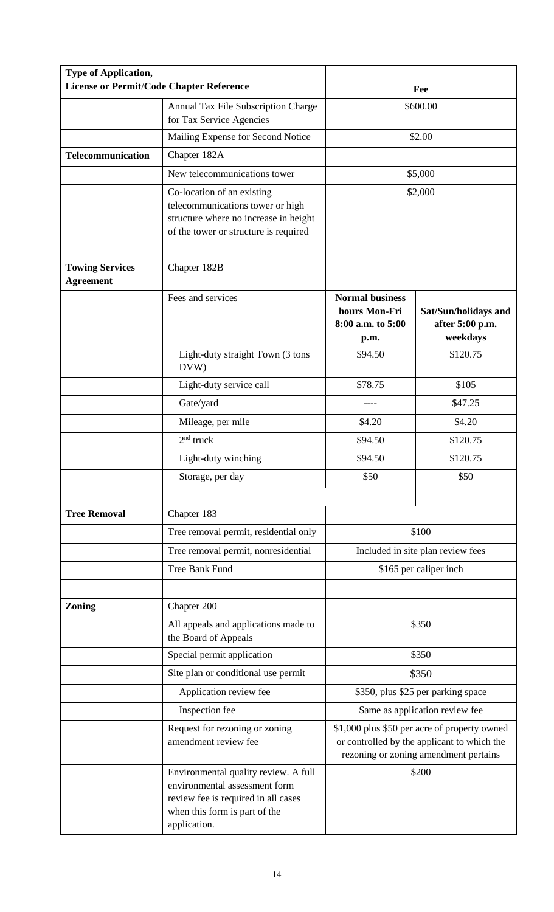| <b>Type of Application,</b><br><b>License or Permit/Code Chapter Reference</b> |                                                                                                                                                               |                                                                                                                                      | Fee                                                 |
|--------------------------------------------------------------------------------|---------------------------------------------------------------------------------------------------------------------------------------------------------------|--------------------------------------------------------------------------------------------------------------------------------------|-----------------------------------------------------|
|                                                                                | Annual Tax File Subscription Charge<br>for Tax Service Agencies                                                                                               |                                                                                                                                      | \$600.00                                            |
|                                                                                | Mailing Expense for Second Notice                                                                                                                             |                                                                                                                                      | \$2.00                                              |
| <b>Telecommunication</b>                                                       | Chapter 182A                                                                                                                                                  |                                                                                                                                      |                                                     |
|                                                                                | New telecommunications tower                                                                                                                                  |                                                                                                                                      | \$5,000                                             |
|                                                                                | Co-location of an existing<br>telecommunications tower or high<br>structure where no increase in height<br>of the tower or structure is required              |                                                                                                                                      | \$2,000                                             |
| <b>Towing Services</b><br><b>Agreement</b>                                     | Chapter 182B                                                                                                                                                  |                                                                                                                                      |                                                     |
|                                                                                | Fees and services                                                                                                                                             | <b>Normal business</b><br>hours Mon-Fri<br>8:00 a.m. to 5:00<br>p.m.                                                                 | Sat/Sun/holidays and<br>after 5:00 p.m.<br>weekdays |
|                                                                                | Light-duty straight Town (3 tons<br>DVW)                                                                                                                      | \$94.50                                                                                                                              | \$120.75                                            |
|                                                                                | Light-duty service call                                                                                                                                       | \$78.75                                                                                                                              | \$105                                               |
|                                                                                | Gate/yard                                                                                                                                                     |                                                                                                                                      | \$47.25                                             |
|                                                                                | Mileage, per mile                                                                                                                                             | \$4.20                                                                                                                               | \$4.20                                              |
|                                                                                | $2nd$ truck                                                                                                                                                   | \$94.50                                                                                                                              | \$120.75                                            |
|                                                                                | Light-duty winching                                                                                                                                           | \$94.50                                                                                                                              | \$120.75                                            |
|                                                                                | Storage, per day                                                                                                                                              | \$50                                                                                                                                 | \$50                                                |
|                                                                                |                                                                                                                                                               |                                                                                                                                      |                                                     |
| <b>Tree Removal</b>                                                            | Chapter 183                                                                                                                                                   |                                                                                                                                      |                                                     |
|                                                                                | Tree removal permit, residential only                                                                                                                         |                                                                                                                                      | \$100                                               |
|                                                                                | Tree removal permit, nonresidential                                                                                                                           |                                                                                                                                      | Included in site plan review fees                   |
|                                                                                | Tree Bank Fund                                                                                                                                                |                                                                                                                                      | \$165 per caliper inch                              |
|                                                                                |                                                                                                                                                               |                                                                                                                                      |                                                     |
| <b>Zoning</b>                                                                  | Chapter 200<br>All appeals and applications made to<br>the Board of Appeals                                                                                   |                                                                                                                                      | \$350                                               |
|                                                                                | Special permit application                                                                                                                                    |                                                                                                                                      | \$350                                               |
|                                                                                | Site plan or conditional use permit                                                                                                                           |                                                                                                                                      | \$350                                               |
|                                                                                | Application review fee                                                                                                                                        |                                                                                                                                      | \$350, plus \$25 per parking space                  |
|                                                                                | Inspection fee                                                                                                                                                | Same as application review fee                                                                                                       |                                                     |
|                                                                                | Request for rezoning or zoning<br>amendment review fee                                                                                                        | \$1,000 plus \$50 per acre of property owned<br>or controlled by the applicant to which the<br>rezoning or zoning amendment pertains |                                                     |
|                                                                                | Environmental quality review. A full<br>environmental assessment form<br>review fee is required in all cases<br>when this form is part of the<br>application. |                                                                                                                                      | \$200                                               |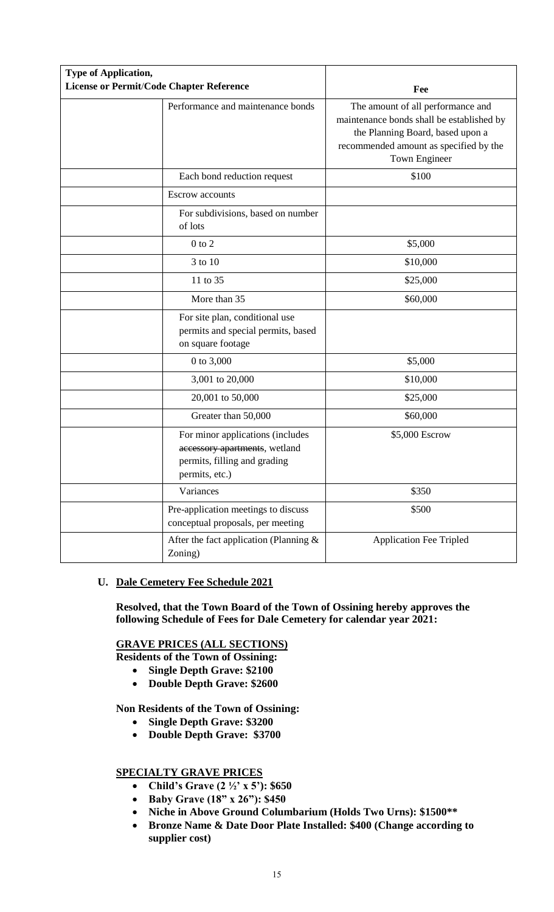| <b>Type of Application,</b><br><b>License or Permit/Code Chapter Reference</b> |                                                                                                                     | Fee                                                                                                                                                                           |
|--------------------------------------------------------------------------------|---------------------------------------------------------------------------------------------------------------------|-------------------------------------------------------------------------------------------------------------------------------------------------------------------------------|
|                                                                                | Performance and maintenance bonds                                                                                   | The amount of all performance and<br>maintenance bonds shall be established by<br>the Planning Board, based upon a<br>recommended amount as specified by the<br>Town Engineer |
|                                                                                | Each bond reduction request                                                                                         | \$100                                                                                                                                                                         |
|                                                                                | <b>Escrow</b> accounts                                                                                              |                                                                                                                                                                               |
|                                                                                | For subdivisions, based on number<br>of lots                                                                        |                                                                                                                                                                               |
|                                                                                | $0$ to $2$                                                                                                          | \$5,000                                                                                                                                                                       |
|                                                                                | 3 to 10                                                                                                             | \$10,000                                                                                                                                                                      |
|                                                                                | 11 to 35                                                                                                            | \$25,000                                                                                                                                                                      |
|                                                                                | More than 35                                                                                                        | \$60,000                                                                                                                                                                      |
|                                                                                | For site plan, conditional use<br>permits and special permits, based<br>on square footage                           |                                                                                                                                                                               |
|                                                                                | 0 to 3,000                                                                                                          | \$5,000                                                                                                                                                                       |
|                                                                                | 3,001 to 20,000                                                                                                     | \$10,000                                                                                                                                                                      |
|                                                                                | 20,001 to 50,000                                                                                                    | \$25,000                                                                                                                                                                      |
|                                                                                | Greater than 50,000                                                                                                 | \$60,000                                                                                                                                                                      |
|                                                                                | For minor applications (includes<br>accessory apartments, wetland<br>permits, filling and grading<br>permits, etc.) | \$5,000 Escrow                                                                                                                                                                |
|                                                                                | Variances                                                                                                           | \$350                                                                                                                                                                         |
|                                                                                | Pre-application meetings to discuss<br>conceptual proposals, per meeting                                            | \$500                                                                                                                                                                         |
|                                                                                | After the fact application (Planning $\&$<br>Zoning)                                                                | <b>Application Fee Tripled</b>                                                                                                                                                |

# **U. Dale Cemetery Fee Schedule 2021**

**Resolved, that the Town Board of the Town of Ossining hereby approves the following Schedule of Fees for Dale Cemetery for calendar year 2021:**

# **GRAVE PRICES (ALL SECTIONS)**

**Residents of the Town of Ossining:**

- **Single Depth Grave: \$2100**
- **Double Depth Grave: \$2600**

**Non Residents of the Town of Ossining:**

- **Single Depth Grave: \$3200**
- **Double Depth Grave: \$3700**

# **SPECIALTY GRAVE PRICES**

- **Child's Grave (2 ½' x 5'): \$650**
- **Baby Grave (18" x 26"): \$450**
- **Niche in Above Ground Columbarium (Holds Two Urns): \$1500\*\***
- **Bronze Name & Date Door Plate Installed: \$400 (Change according to supplier cost)**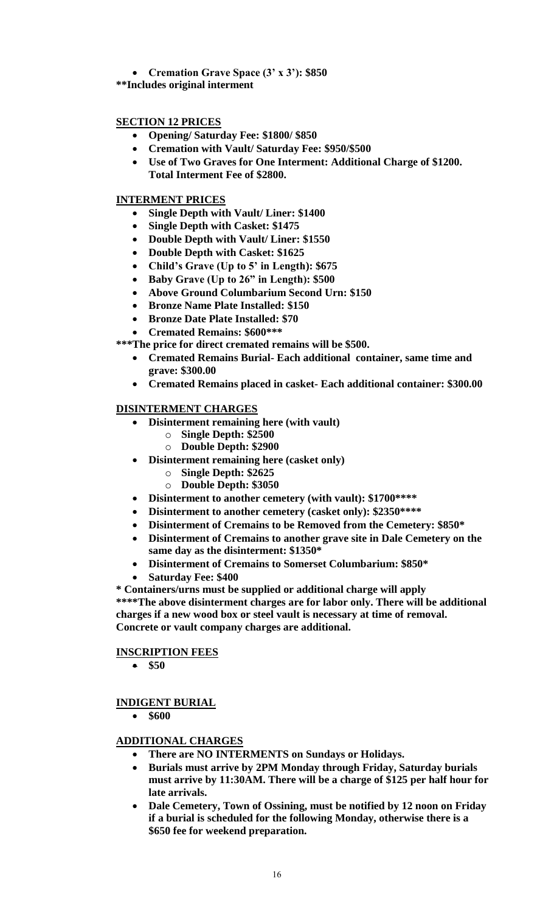**Cremation Grave Space (3' x 3'): \$850**

**\*\*Includes original interment**

# **SECTION 12 PRICES**

- **Opening/ Saturday Fee: \$1800/ \$850**
- **Cremation with Vault/ Saturday Fee: \$950/\$500**
- **Use of Two Graves for One Interment: Additional Charge of \$1200. Total Interment Fee of \$2800.**

# **INTERMENT PRICES**

- **Single Depth with Vault/ Liner: \$1400**
- **Single Depth with Casket: \$1475**
- **Double Depth with Vault/ Liner: \$1550**
- **Double Depth with Casket: \$1625**
- **Child's Grave (Up to 5' in Length): \$675**
- **Baby Grave (Up to 26" in Length): \$500**
- **Above Ground Columbarium Second Urn: \$150**
- **Bronze Name Plate Installed: \$150**
- **Bronze Date Plate Installed: \$70**
- **Cremated Remains: \$600\*\*\***

**\*\*\*The price for direct cremated remains will be \$500.**

- **Cremated Remains Burial- Each additional container, same time and grave: \$300.00**
- **Cremated Remains placed in casket- Each additional container: \$300.00**

# **DISINTERMENT CHARGES**

- **Disinterment remaining here (with vault)**
	- o **Single Depth: \$2500**
	- o **Double Depth: \$2900**
- **Disinterment remaining here (casket only)**
	- o **Single Depth: \$2625**
	- o **Double Depth: \$3050**
- **Disinterment to another cemetery (with vault): \$1700\*\*\*\***
- **Disinterment to another cemetery (casket only): \$2350\*\*\*\***
- **Disinterment of Cremains to be Removed from the Cemetery: \$850\***
- **Disinterment of Cremains to another grave site in Dale Cemetery on the same day as the disinterment: \$1350\***
- **Disinterment of Cremains to Somerset Columbarium: \$850\***
- **Saturday Fee: \$400**

**\* Containers/urns must be supplied or additional charge will apply \*\*\*\*The above disinterment charges are for labor only. There will be additional charges if a new wood box or steel vault is necessary at time of removal. Concrete or vault company charges are additional.**

# **INSCRIPTION FEES**

**\$50**

# **INDIGENT BURIAL**

**\$600**

# **ADDITIONAL CHARGES**

- **There are NO INTERMENTS on Sundays or Holidays.**
- **Burials must arrive by 2PM Monday through Friday, Saturday burials must arrive by 11:30AM. There will be a charge of \$125 per half hour for late arrivals.**
- **Dale Cemetery, Town of Ossining, must be notified by 12 noon on Friday if a burial is scheduled for the following Monday, otherwise there is a \$650 fee for weekend preparation.**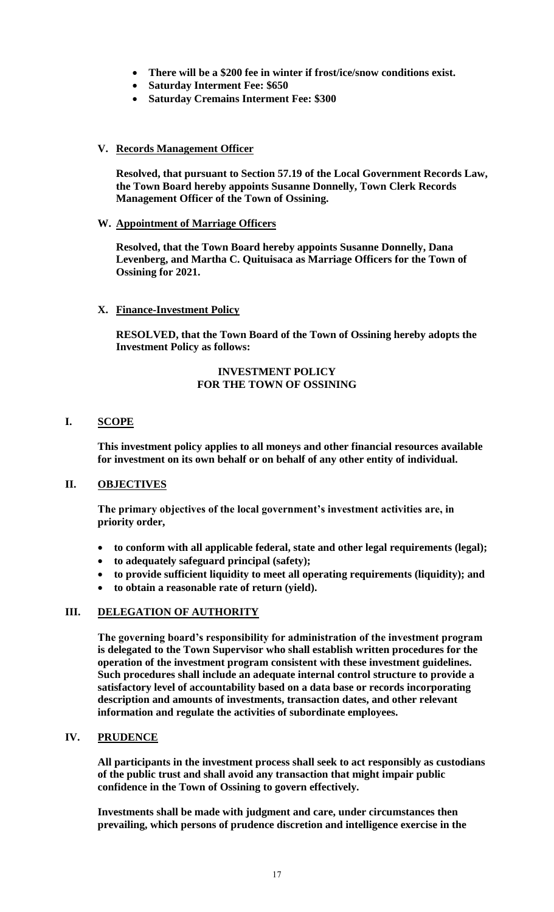- **There will be a \$200 fee in winter if frost/ice/snow conditions exist.**
- **Saturday Interment Fee: \$650**
- **Saturday Cremains Interment Fee: \$300**

# **V. Records Management Officer**

**Resolved, that pursuant to Section 57.19 of the Local Government Records Law, the Town Board hereby appoints Susanne Donnelly, Town Clerk Records Management Officer of the Town of Ossining.**

# **W. Appointment of Marriage Officers**

**Resolved, that the Town Board hereby appoints Susanne Donnelly, Dana Levenberg, and Martha C. Quituisaca as Marriage Officers for the Town of Ossining for 2021.**

# **X. Finance-Investment Policy**

**RESOLVED, that the Town Board of the Town of Ossining hereby adopts the Investment Policy as follows:**

### **INVESTMENT POLICY FOR THE TOWN OF OSSINING**

# **I. SCOPE**

**This investment policy applies to all moneys and other financial resources available for investment on its own behalf or on behalf of any other entity of individual.**

# **II. OBJECTIVES**

**The primary objectives of the local government's investment activities are, in priority order,**

- **to conform with all applicable federal, state and other legal requirements (legal);**
- **to adequately safeguard principal (safety);**
- **to provide sufficient liquidity to meet all operating requirements (liquidity); and**
- **to obtain a reasonable rate of return (yield).**

# **III. DELEGATION OF AUTHORITY**

**The governing board's responsibility for administration of the investment program is delegated to the Town Supervisor who shall establish written procedures for the operation of the investment program consistent with these investment guidelines. Such procedures shall include an adequate internal control structure to provide a satisfactory level of accountability based on a data base or records incorporating description and amounts of investments, transaction dates, and other relevant information and regulate the activities of subordinate employees.**

# **IV. PRUDENCE**

**All participants in the investment process shall seek to act responsibly as custodians of the public trust and shall avoid any transaction that might impair public confidence in the Town of Ossining to govern effectively.**

**Investments shall be made with judgment and care, under circumstances then prevailing, which persons of prudence discretion and intelligence exercise in the**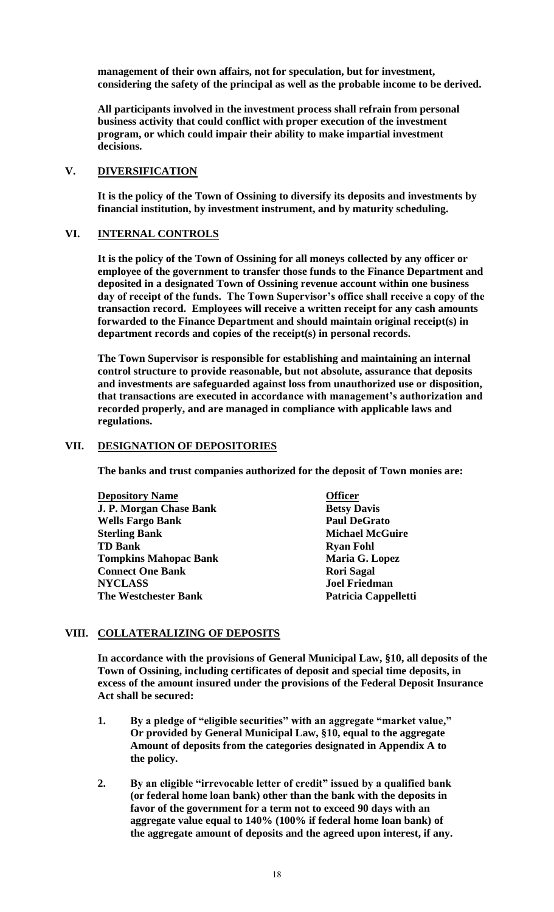**management of their own affairs, not for speculation, but for investment, considering the safety of the principal as well as the probable income to be derived.**

**All participants involved in the investment process shall refrain from personal business activity that could conflict with proper execution of the investment program, or which could impair their ability to make impartial investment decisions.**

# **V. DIVERSIFICATION**

**It is the policy of the Town of Ossining to diversify its deposits and investments by financial institution, by investment instrument, and by maturity scheduling.**

#### **VI. INTERNAL CONTROLS**

**It is the policy of the Town of Ossining for all moneys collected by any officer or employee of the government to transfer those funds to the Finance Department and deposited in a designated Town of Ossining revenue account within one business day of receipt of the funds. The Town Supervisor's office shall receive a copy of the transaction record. Employees will receive a written receipt for any cash amounts forwarded to the Finance Department and should maintain original receipt(s) in department records and copies of the receipt(s) in personal records.**

**The Town Supervisor is responsible for establishing and maintaining an internal control structure to provide reasonable, but not absolute, assurance that deposits and investments are safeguarded against loss from unauthorized use or disposition, that transactions are executed in accordance with management's authorization and recorded properly, and are managed in compliance with applicable laws and regulations.**

### **VII. DESIGNATION OF DEPOSITORIES**

**The banks and trust companies authorized for the deposit of Town monies are:**

| <b>Depository Name</b>         | <b>Officer</b>         |
|--------------------------------|------------------------|
| <b>J. P. Morgan Chase Bank</b> | <b>Betsy Davis</b>     |
| <b>Wells Fargo Bank</b>        | <b>Paul DeGrato</b>    |
| <b>Sterling Bank</b>           | <b>Michael McGuire</b> |
| <b>TD Bank</b>                 | <b>Ryan Fohl</b>       |
| <b>Tompkins Mahopac Bank</b>   | Maria G. Lopez         |
| <b>Connect One Bank</b>        | <b>Rori Sagal</b>      |
| <b>NYCLASS</b>                 | <b>Joel Friedman</b>   |
| <b>The Westchester Bank</b>    | Patricia Cappelletti   |

# **VIII. COLLATERALIZING OF DEPOSITS**

**In accordance with the provisions of General Municipal Law, §10, all deposits of the Town of Ossining, including certificates of deposit and special time deposits, in excess of the amount insured under the provisions of the Federal Deposit Insurance Act shall be secured:**

- **1. By a pledge of "eligible securities" with an aggregate "market value," Or provided by General Municipal Law, §10, equal to the aggregate Amount of deposits from the categories designated in Appendix A to the policy.**
- **2. By an eligible "irrevocable letter of credit" issued by a qualified bank (or federal home loan bank) other than the bank with the deposits in favor of the government for a term not to exceed 90 days with an aggregate value equal to 140% (100% if federal home loan bank) of the aggregate amount of deposits and the agreed upon interest, if any.**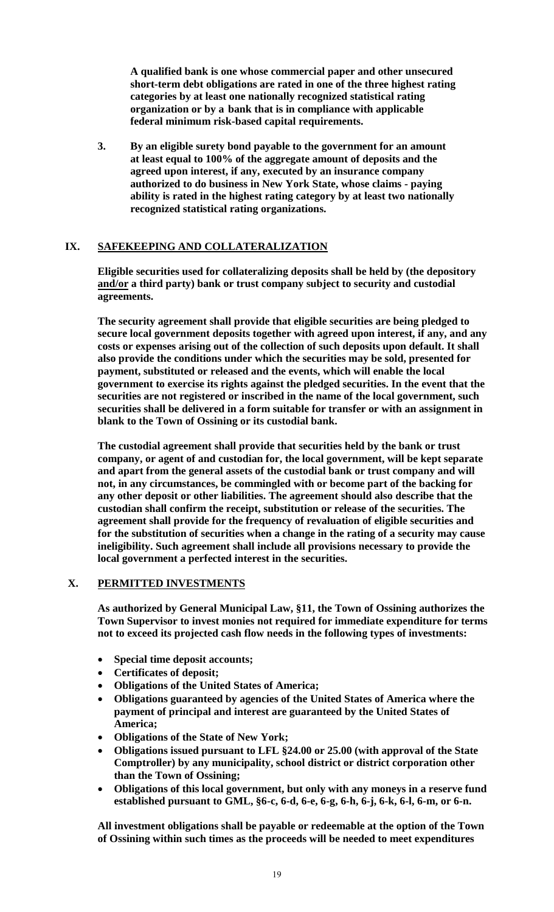**A qualified bank is one whose commercial paper and other unsecured short-term debt obligations are rated in one of the three highest rating categories by at least one nationally recognized statistical rating organization or by a bank that is in compliance with applicable federal minimum risk-based capital requirements.**

**3. By an eligible surety bond payable to the government for an amount at least equal to 100% of the aggregate amount of deposits and the agreed upon interest, if any, executed by an insurance company authorized to do business in New York State, whose claims - paying ability is rated in the highest rating category by at least two nationally recognized statistical rating organizations.**

# **IX. SAFEKEEPING AND COLLATERALIZATION**

**Eligible securities used for collateralizing deposits shall be held by (the depository and/or a third party) bank or trust company subject to security and custodial agreements.**

**The security agreement shall provide that eligible securities are being pledged to secure local government deposits together with agreed upon interest, if any, and any costs or expenses arising out of the collection of such deposits upon default. It shall also provide the conditions under which the securities may be sold, presented for payment, substituted or released and the events, which will enable the local government to exercise its rights against the pledged securities. In the event that the securities are not registered or inscribed in the name of the local government, such securities shall be delivered in a form suitable for transfer or with an assignment in blank to the Town of Ossining or its custodial bank.**

**The custodial agreement shall provide that securities held by the bank or trust company, or agent of and custodian for, the local government, will be kept separate and apart from the general assets of the custodial bank or trust company and will not, in any circumstances, be commingled with or become part of the backing for any other deposit or other liabilities. The agreement should also describe that the custodian shall confirm the receipt, substitution or release of the securities. The agreement shall provide for the frequency of revaluation of eligible securities and for the substitution of securities when a change in the rating of a security may cause ineligibility. Such agreement shall include all provisions necessary to provide the local government a perfected interest in the securities.**

#### **X. PERMITTED INVESTMENTS**

**As authorized by General Municipal Law, §11, the Town of Ossining authorizes the Town Supervisor to invest monies not required for immediate expenditure for terms not to exceed its projected cash flow needs in the following types of investments:**

- **Special time deposit accounts;**
- **Certificates of deposit;**
- **Obligations of the United States of America;**
- **Obligations guaranteed by agencies of the United States of America where the payment of principal and interest are guaranteed by the United States of America;**
- **Obligations of the State of New York;**
- **Obligations issued pursuant to LFL §24.00 or 25.00 (with approval of the State Comptroller) by any municipality, school district or district corporation other than the Town of Ossining;**
- **Obligations of this local government, but only with any moneys in a reserve fund established pursuant to GML, §6-c, 6-d, 6-e, 6-g, 6-h, 6-j, 6-k, 6-l, 6-m, or 6-n.**

**All investment obligations shall be payable or redeemable at the option of the Town of Ossining within such times as the proceeds will be needed to meet expenditures**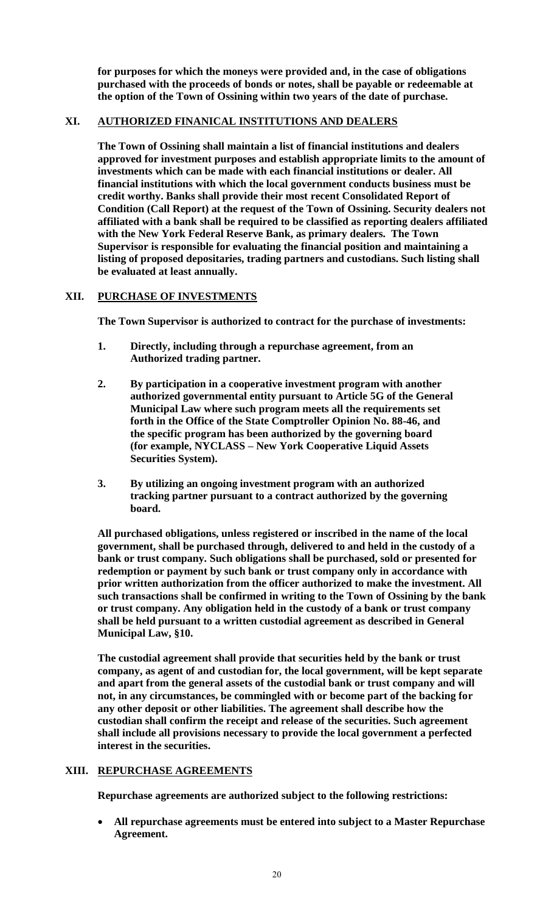**for purposes for which the moneys were provided and, in the case of obligations purchased with the proceeds of bonds or notes, shall be payable or redeemable at the option of the Town of Ossining within two years of the date of purchase.**

# **XI. AUTHORIZED FINANICAL INSTITUTIONS AND DEALERS**

**The Town of Ossining shall maintain a list of financial institutions and dealers approved for investment purposes and establish appropriate limits to the amount of investments which can be made with each financial institutions or dealer. All financial institutions with which the local government conducts business must be credit worthy. Banks shall provide their most recent Consolidated Report of Condition (Call Report) at the request of the Town of Ossining. Security dealers not affiliated with a bank shall be required to be classified as reporting dealers affiliated with the New York Federal Reserve Bank, as primary dealers. The Town Supervisor is responsible for evaluating the financial position and maintaining a listing of proposed depositaries, trading partners and custodians. Such listing shall be evaluated at least annually.**

# **XII. PURCHASE OF INVESTMENTS**

**The Town Supervisor is authorized to contract for the purchase of investments:**

- **1. Directly, including through a repurchase agreement, from an Authorized trading partner.**
- **2. By participation in a cooperative investment program with another authorized governmental entity pursuant to Article 5G of the General Municipal Law where such program meets all the requirements set forth in the Office of the State Comptroller Opinion No. 88-46, and the specific program has been authorized by the governing board (for example, NYCLASS – New York Cooperative Liquid Assets Securities System).**
- **3. By utilizing an ongoing investment program with an authorized tracking partner pursuant to a contract authorized by the governing board.**

**All purchased obligations, unless registered or inscribed in the name of the local government, shall be purchased through, delivered to and held in the custody of a bank or trust company. Such obligations shall be purchased, sold or presented for redemption or payment by such bank or trust company only in accordance with prior written authorization from the officer authorized to make the investment. All such transactions shall be confirmed in writing to the Town of Ossining by the bank or trust company. Any obligation held in the custody of a bank or trust company shall be held pursuant to a written custodial agreement as described in General Municipal Law, §10.**

**The custodial agreement shall provide that securities held by the bank or trust company, as agent of and custodian for, the local government, will be kept separate and apart from the general assets of the custodial bank or trust company and will not, in any circumstances, be commingled with or become part of the backing for any other deposit or other liabilities. The agreement shall describe how the custodian shall confirm the receipt and release of the securities. Such agreement shall include all provisions necessary to provide the local government a perfected interest in the securities.**

# **XIII. REPURCHASE AGREEMENTS**

**Repurchase agreements are authorized subject to the following restrictions:**

 **All repurchase agreements must be entered into subject to a Master Repurchase Agreement.**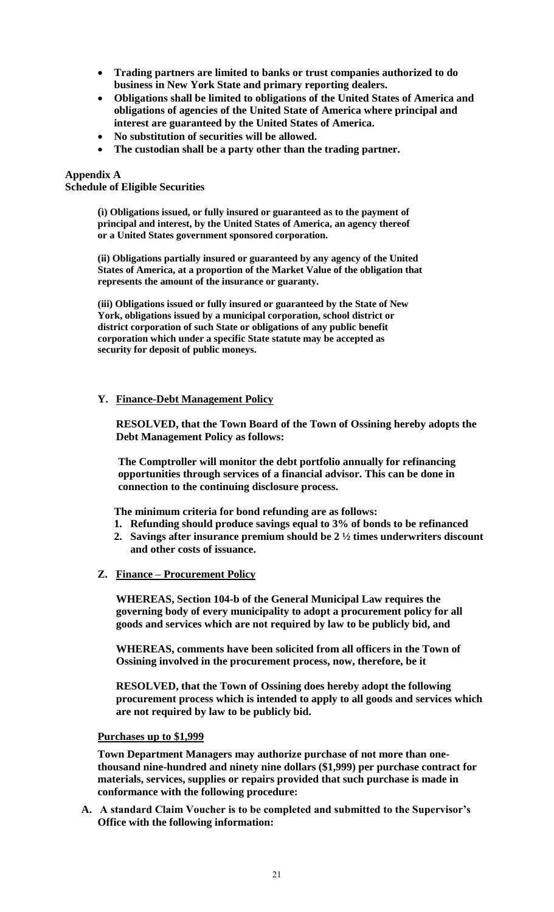- **Trading partners are limited to banks or trust companies authorized to do business in New York State and primary reporting dealers.**
- **Obligations shall be limited to obligations of the United States of America and obligations of agencies of the United State of America where principal and interest are guaranteed by the United States of America.**
- **No substitution of securities will be allowed.**
- **The custodian shall be a party other than the trading partner.**

#### **Appendix A**

**Schedule of Eligible Securities**

**(ì) Obligations issued, or fully insured or guaranteed as to the payment of principal and interest, by the United States of America, an agency thereof or a United States government sponsored corporation.**

**(ii) Obligations partially insured or guaranteed by any agency of the United States of America, at a proportion of the Market Value of the obligation that represents the amount of the insurance or guaranty.**

**(iii) Obligations issued or fully insured or guaranteed by the State of New York, obligations issued by a municipal corporation, school district or district corporation of such State or obligations of any public benefit corporation which under a specific State statute may be accepted as security for deposit of public moneys.**

# **Y. Finance-Debt Management Policy**

**RESOLVED, that the Town Board of the Town of Ossining hereby adopts the Debt Management Policy as follows:**

**The Comptroller will monitor the debt portfolio annually for refinancing opportunities through services of a financial advisor. This can be done in connection to the continuing disclosure process.**

**The minimum criteria for bond refunding are as follows:**

- **1. Refunding should produce savings equal to 3% of bonds to be refinanced**
- **2. Savings after insurance premium should be 2 ½ times underwriters discount and other costs of issuance.**
- **Z. Finance – Procurement Policy**

**WHEREAS, Section 104-b of the General Municipal Law requires the governing body of every municipality to adopt a procurement policy for all goods and services which are not required by law to be publicly bid, and**

**WHEREAS, comments have been solicited from all officers in the Town of Ossining involved in the procurement process, now, therefore, be it**

**RESOLVED, that the Town of Ossining does hereby adopt the following procurement process which is intended to apply to all goods and services which are not required by law to be publicly bid.**

#### **Purchases up to \$1,999**

**Town Department Managers may authorize purchase of not more than onethousand nine-hundred and ninety nine dollars (\$1,999) per purchase contract for materials, services, supplies or repairs provided that such purchase is made in conformance with the following procedure:**

**A. A standard Claim Voucher is to be completed and submitted to the Supervisor's Office with the following information:**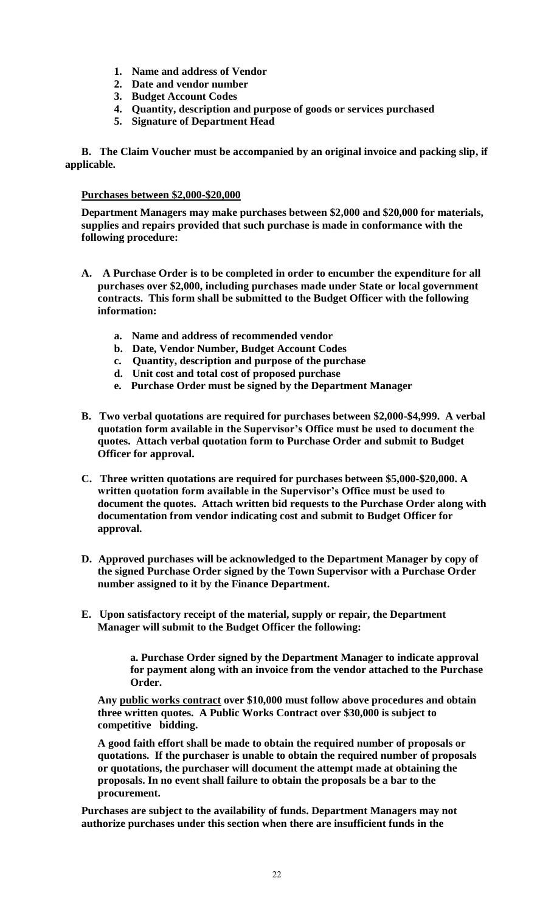- **1. Name and address of Vendor**
- **2. Date and vendor number**
- **3. Budget Account Codes**
- **4. Quantity, description and purpose of goods or services purchased**
- **5. Signature of Department Head**

**B. The Claim Voucher must be accompanied by an original invoice and packing slip, if applicable.**

# **Purchases between \$2,000-\$20,000**

**Department Managers may make purchases between \$2,000 and \$20,000 for materials, supplies and repairs provided that such purchase is made in conformance with the following procedure:**

- **A. A Purchase Order is to be completed in order to encumber the expenditure for all purchases over \$2,000, including purchases made under State or local government contracts. This form shall be submitted to the Budget Officer with the following information:**
	- **a. Name and address of recommended vendor**
	- **b. Date, Vendor Number, Budget Account Codes**
	- **c. Quantity, description and purpose of the purchase**
	- **d. Unit cost and total cost of proposed purchase**
	- **e. Purchase Order must be signed by the Department Manager**
- **B. Two verbal quotations are required for purchases between \$2,000-\$4,999. A verbal quotation form available in the Supervisor's Office must be used to document the quotes. Attach verbal quotation form to Purchase Order and submit to Budget Officer for approval.**
- **C. Three written quotations are required for purchases between \$5,000-\$20,000. A written quotation form available in the Supervisor's Office must be used to document the quotes. Attach written bid requests to the Purchase Order along with documentation from vendor indicating cost and submit to Budget Officer for approval.**
- **D. Approved purchases will be acknowledged to the Department Manager by copy of the signed Purchase Order signed by the Town Supervisor with a Purchase Order number assigned to it by the Finance Department.**
- **E. Upon satisfactory receipt of the material, supply or repair, the Department Manager will submit to the Budget Officer the following:**

**a. Purchase Order signed by the Department Manager to indicate approval for payment along with an invoice from the vendor attached to the Purchase Order.**

**Any public works contract over \$10,000 must follow above procedures and obtain three written quotes. A Public Works Contract over \$30,000 is subject to competitive bidding.**

**A good faith effort shall be made to obtain the required number of proposals or quotations. If the purchaser is unable to obtain the required number of proposals or quotations, the purchaser will document the attempt made at obtaining the proposals. In no event shall failure to obtain the proposals be a bar to the procurement.**

**Purchases are subject to the availability of funds. Department Managers may not authorize purchases under this section when there are insufficient funds in the**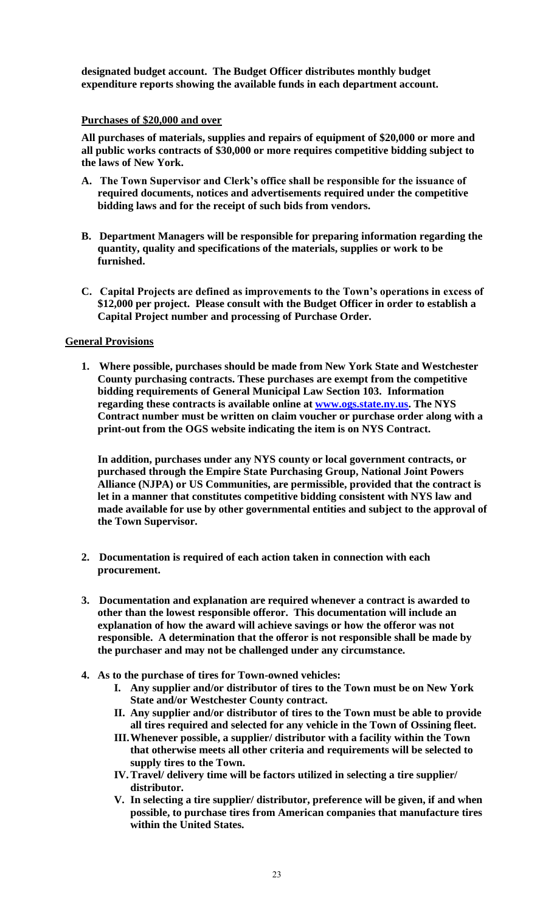**designated budget account. The Budget Officer distributes monthly budget expenditure reports showing the available funds in each department account.**

### **Purchases of \$20,000 and over**

**All purchases of materials, supplies and repairs of equipment of \$20,000 or more and all public works contracts of \$30,000 or more requires competitive bidding subject to the laws of New York.**

- **A. The Town Supervisor and Clerk's office shall be responsible for the issuance of required documents, notices and advertisements required under the competitive bidding laws and for the receipt of such bids from vendors.**
- **B. Department Managers will be responsible for preparing information regarding the quantity, quality and specifications of the materials, supplies or work to be furnished.**
- **C. Capital Projects are defined as improvements to the Town's operations in excess of \$12,000 per project. Please consult with the Budget Officer in order to establish a Capital Project number and processing of Purchase Order.**

# **General Provisions**

**1. Where possible, purchases should be made from New York State and Westchester County purchasing contracts. These purchases are exempt from the competitive bidding requirements of General Municipal Law Section 103. Information regarding these contracts is available online at [www.ogs.state.ny.us.](http://www.ogs.state.ny.us/) The NYS Contract number must be written on claim voucher or purchase order along with a print-out from the OGS website indicating the item is on NYS Contract.**

**In addition, purchases under any NYS county or local government contracts, or purchased through the Empire State Purchasing Group, National Joint Powers Alliance (NJPA) or US Communities, are permissible, provided that the contract is let in a manner that constitutes competitive bidding consistent with NYS law and made available for use by other governmental entities and subject to the approval of the Town Supervisor.**

- **2. Documentation is required of each action taken in connection with each procurement.**
- **3. Documentation and explanation are required whenever a contract is awarded to other than the lowest responsible offeror. This documentation will include an explanation of how the award will achieve savings or how the offeror was not responsible. A determination that the offeror is not responsible shall be made by the purchaser and may not be challenged under any circumstance.**
- **4. As to the purchase of tires for Town-owned vehicles:**
	- **I. Any supplier and/or distributor of tires to the Town must be on New York State and/or Westchester County contract.**
	- **II. Any supplier and/or distributor of tires to the Town must be able to provide all tires required and selected for any vehicle in the Town of Ossining fleet.**
	- **III.Whenever possible, a supplier/ distributor with a facility within the Town that otherwise meets all other criteria and requirements will be selected to supply tires to the Town.**
	- **IV.Travel/ delivery time will be factors utilized in selecting a tire supplier/ distributor.**
	- **V. In selecting a tire supplier/ distributor, preference will be given, if and when possible, to purchase tires from American companies that manufacture tires within the United States.**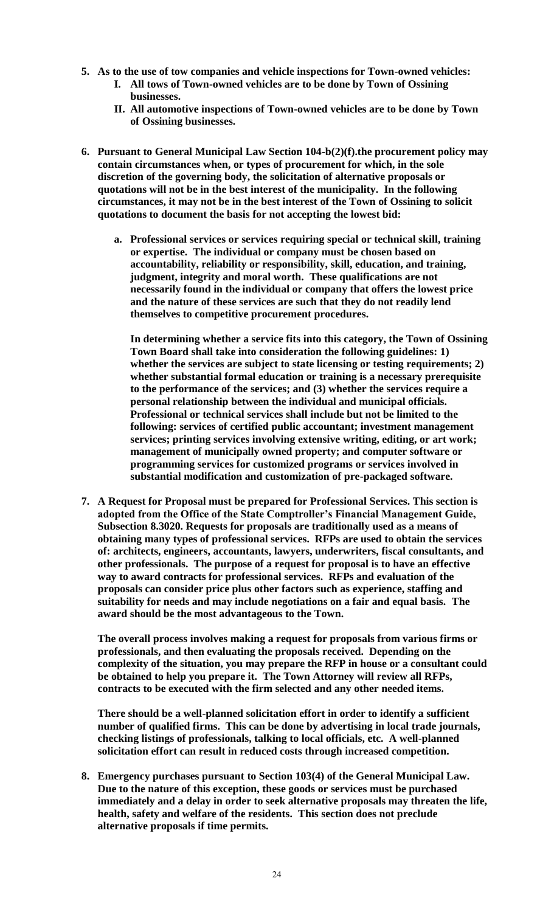- **5. As to the use of tow companies and vehicle inspections for Town-owned vehicles:**
	- **I. All tows of Town-owned vehicles are to be done by Town of Ossining businesses.**
	- **II. All automotive inspections of Town-owned vehicles are to be done by Town of Ossining businesses.**
- **6. Pursuant to General Municipal Law Section 104-b(2)(f).the procurement policy may contain circumstances when, or types of procurement for which, in the sole discretion of the governing body, the solicitation of alternative proposals or quotations will not be in the best interest of the municipality. In the following circumstances, it may not be in the best interest of the Town of Ossining to solicit quotations to document the basis for not accepting the lowest bid:** 
	- **a. Professional services or services requiring special or technical skill, training or expertise. The individual or company must be chosen based on accountability, reliability or responsibility, skill, education, and training, judgment, integrity and moral worth. These qualifications are not necessarily found in the individual or company that offers the lowest price and the nature of these services are such that they do not readily lend themselves to competitive procurement procedures.**

**In determining whether a service fits into this category, the Town of Ossining Town Board shall take into consideration the following guidelines: 1) whether the services are subject to state licensing or testing requirements; 2) whether substantial formal education or training is a necessary prerequisite to the performance of the services; and (3) whether the services require a personal relationship between the individual and municipal officials. Professional or technical services shall include but not be limited to the following: services of certified public accountant; investment management services; printing services involving extensive writing, editing, or art work; management of municipally owned property; and computer software or programming services for customized programs or services involved in substantial modification and customization of pre-packaged software.**

**7. A Request for Proposal must be prepared for Professional Services. This section is adopted from the Office of the State Comptroller's Financial Management Guide, Subsection 8.3020. Requests for proposals are traditionally used as a means of obtaining many types of professional services. RFPs are used to obtain the services of: architects, engineers, accountants, lawyers, underwriters, fiscal consultants, and other professionals. The purpose of a request for proposal is to have an effective way to award contracts for professional services. RFPs and evaluation of the proposals can consider price plus other factors such as experience, staffing and suitability for needs and may include negotiations on a fair and equal basis. The award should be the most advantageous to the Town.**

**The overall process involves making a request for proposals from various firms or professionals, and then evaluating the proposals received. Depending on the complexity of the situation, you may prepare the RFP in house or a consultant could be obtained to help you prepare it. The Town Attorney will review all RFPs, contracts to be executed with the firm selected and any other needed items.**

**There should be a well-planned solicitation effort in order to identify a sufficient number of qualified firms. This can be done by advertising in local trade journals, checking listings of professionals, talking to local officials, etc. A well-planned solicitation effort can result in reduced costs through increased competition.**

**8. Emergency purchases pursuant to Section 103(4) of the General Municipal Law. Due to the nature of this exception, these goods or services must be purchased immediately and a delay in order to seek alternative proposals may threaten the life, health, safety and welfare of the residents. This section does not preclude alternative proposals if time permits.**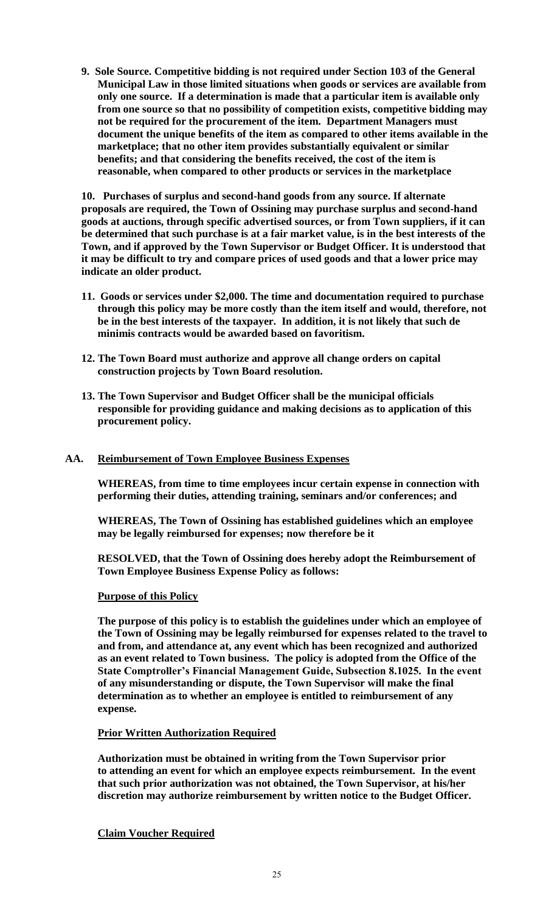**9. Sole Source. Competitive bidding is not required under Section 103 of the General Municipal Law in those limited situations when goods or services are available from only one source. If a determination is made that a particular item is available only from one source so that no possibility of competition exists, competitive bidding may not be required for the procurement of the item. Department Managers must document the unique benefits of the item as compared to other items available in the marketplace; that no other item provides substantially equivalent or similar benefits; and that considering the benefits received, the cost of the item is reasonable, when compared to other products or services in the marketplace**

**10. Purchases of surplus and second-hand goods from any source. If alternate proposals are required, the Town of Ossining may purchase surplus and second-hand goods at auctions, through specific advertised sources, or from Town suppliers, if it can be determined that such purchase is at a fair market value, is in the best interests of the Town, and if approved by the Town Supervisor or Budget Officer. It is understood that it may be difficult to try and compare prices of used goods and that a lower price may indicate an older product.**

- **11. Goods or services under \$2,000. The time and documentation required to purchase through this policy may be more costly than the item itself and would, therefore, not be in the best interests of the taxpayer. In addition, it is not likely that such de minimis contracts would be awarded based on favoritism.**
- **12. The Town Board must authorize and approve all change orders on capital construction projects by Town Board resolution.**
- **13. The Town Supervisor and Budget Officer shall be the municipal officials responsible for providing guidance and making decisions as to application of this procurement policy.**

### **AA. Reimbursement of Town Employee Business Expenses**

**WHEREAS, from time to time employees incur certain expense in connection with performing their duties, attending training, seminars and/or conferences; and**

**WHEREAS, The Town of Ossining has established guidelines which an employee may be legally reimbursed for expenses; now therefore be it**

**RESOLVED, that the Town of Ossining does hereby adopt the Reimbursement of Town Employee Business Expense Policy as follows:**

# **Purpose of this Policy**

**The purpose of this policy is to establish the guidelines under which an employee of the Town of Ossining may be legally reimbursed for expenses related to the travel to and from, and attendance at, any event which has been recognized and authorized as an event related to Town business. The policy is adopted from the Office of the State Comptroller's Financial Management Guide, Subsection 8.1025. In the event of any misunderstanding or dispute, the Town Supervisor will make the final determination as to whether an employee is entitled to reimbursement of any expense.**

### **Prior Written Authorization Required**

**Authorization must be obtained in writing from the Town Supervisor prior to attending an event for which an employee expects reimbursement. In the event that such prior authorization was not obtained, the Town Supervisor, at his/her discretion may authorize reimbursement by written notice to the Budget Officer.**

**Claim Voucher Required**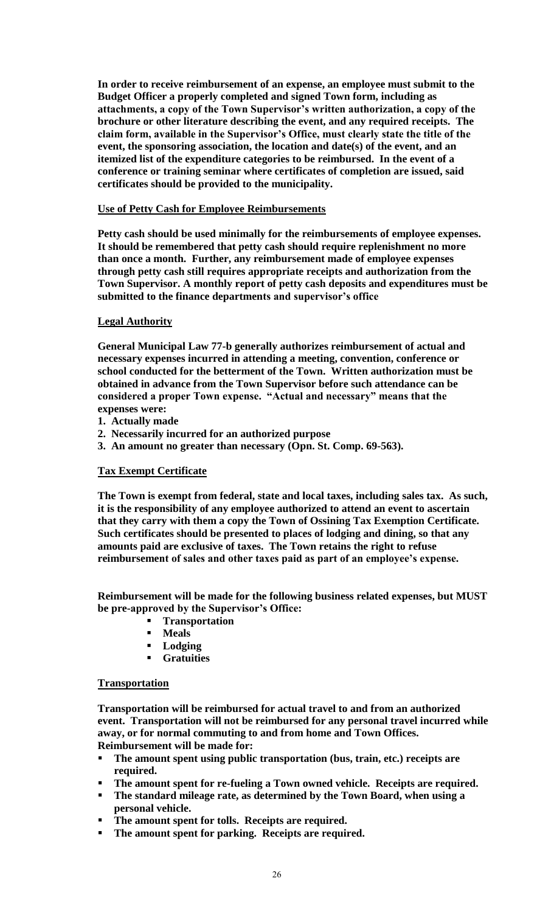**In order to receive reimbursement of an expense, an employee must submit to the Budget Officer a properly completed and signed Town form, including as attachments, a copy of the Town Supervisor's written authorization, a copy of the brochure or other literature describing the event, and any required receipts. The claim form, available in the Supervisor's Office, must clearly state the title of the event, the sponsoring association, the location and date(s) of the event, and an itemized list of the expenditure categories to be reimbursed. In the event of a conference or training seminar where certificates of completion are issued, said certificates should be provided to the municipality.**

# **Use of Petty Cash for Employee Reimbursements**

**Petty cash should be used minimally for the reimbursements of employee expenses. It should be remembered that petty cash should require replenishment no more than once a month. Further, any reimbursement made of employee expenses through petty cash still requires appropriate receipts and authorization from the Town Supervisor. A monthly report of petty cash deposits and expenditures must be submitted to the finance departments and supervisor's office** 

# **Legal Authority**

**General Municipal Law 77-b generally authorizes reimbursement of actual and necessary expenses incurred in attending a meeting, convention, conference or school conducted for the betterment of the Town. Written authorization must be obtained in advance from the Town Supervisor before such attendance can be considered a proper Town expense. "Actual and necessary" means that the expenses were:**

- **1. Actually made**
- **2. Necessarily incurred for an authorized purpose**
- **3. An amount no greater than necessary (Opn. St. Comp. 69-563).**

# **Tax Exempt Certificate**

**The Town is exempt from federal, state and local taxes, including sales tax. As such, it is the responsibility of any employee authorized to attend an event to ascertain that they carry with them a copy the Town of Ossining Tax Exemption Certificate. Such certificates should be presented to places of lodging and dining, so that any amounts paid are exclusive of taxes. The Town retains the right to refuse reimbursement of sales and other taxes paid as part of an employee's expense.**

**Reimbursement will be made for the following business related expenses, but MUST be pre-approved by the Supervisor's Office:**

- **Transportation**
- **Meals**
- **Lodging**
- **Gratuities**

# **Transportation**

**Transportation will be reimbursed for actual travel to and from an authorized event. Transportation will not be reimbursed for any personal travel incurred while away, or for normal commuting to and from home and Town Offices. Reimbursement will be made for:**

- **The amount spent using public transportation (bus, train, etc.) receipts are required.**
- **The amount spent for re-fueling a Town owned vehicle. Receipts are required.**
- **The standard mileage rate, as determined by the Town Board, when using a personal vehicle.**
- **The amount spent for tolls. Receipts are required.**
- **The amount spent for parking. Receipts are required.**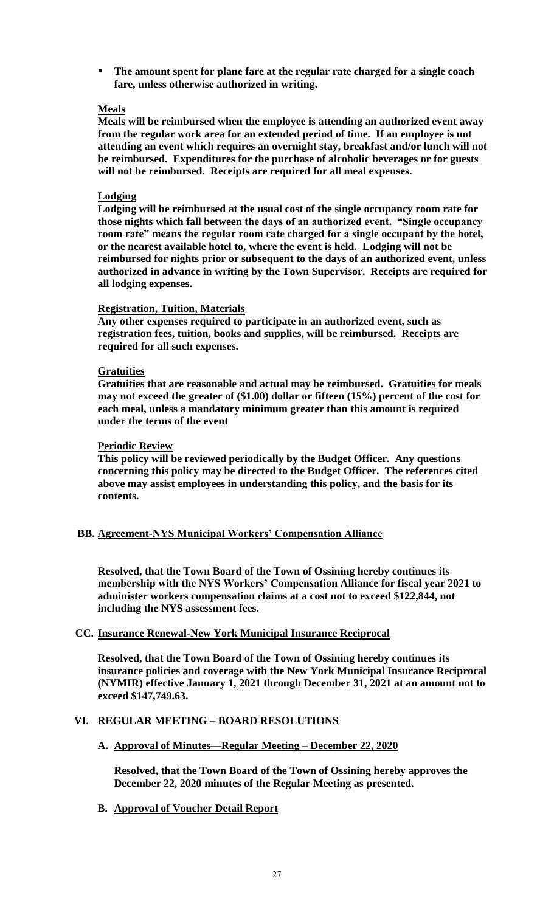**The amount spent for plane fare at the regular rate charged for a single coach fare, unless otherwise authorized in writing.**

### **Meals**

**Meals will be reimbursed when the employee is attending an authorized event away from the regular work area for an extended period of time. If an employee is not attending an event which requires an overnight stay, breakfast and/or lunch will not be reimbursed. Expenditures for the purchase of alcoholic beverages or for guests will not be reimbursed. Receipts are required for all meal expenses.** 

#### **Lodging**

**Lodging will be reimbursed at the usual cost of the single occupancy room rate for those nights which fall between the days of an authorized event. "Single occupancy room rate" means the regular room rate charged for a single occupant by the hotel, or the nearest available hotel to, where the event is held. Lodging will not be reimbursed for nights prior or subsequent to the days of an authorized event, unless authorized in advance in writing by the Town Supervisor. Receipts are required for all lodging expenses.**

#### **Registration, Tuition, Materials**

**Any other expenses required to participate in an authorized event, such as registration fees, tuition, books and supplies, will be reimbursed. Receipts are required for all such expenses.**

#### **Gratuities**

**Gratuities that are reasonable and actual may be reimbursed. Gratuities for meals may not exceed the greater of (\$1.00) dollar or fifteen (15%) percent of the cost for each meal, unless a mandatory minimum greater than this amount is required under the terms of the event**

#### **Periodic Review**

**This policy will be reviewed periodically by the Budget Officer. Any questions concerning this policy may be directed to the Budget Officer. The references cited above may assist employees in understanding this policy, and the basis for its contents.**

# **BB. Agreement-NYS Municipal Workers' Compensation Alliance**

**Resolved, that the Town Board of the Town of Ossining hereby continues its membership with the NYS Workers' Compensation Alliance for fiscal year 2021 to administer workers compensation claims at a cost not to exceed \$122,844, not including the NYS assessment fees.**

# **CC. Insurance Renewal-New York Municipal Insurance Reciprocal**

**Resolved, that the Town Board of the Town of Ossining hereby continues its insurance policies and coverage with the New York Municipal Insurance Reciprocal (NYMIR) effective January 1, 2021 through December 31, 2021 at an amount not to exceed \$147,749.63.**

# **VI. REGULAR MEETING – BOARD RESOLUTIONS**

**A. Approval of Minutes—Regular Meeting – December 22, 2020**

**Resolved, that the Town Board of the Town of Ossining hereby approves the December 22, 2020 minutes of the Regular Meeting as presented.**

**B. Approval of Voucher Detail Report**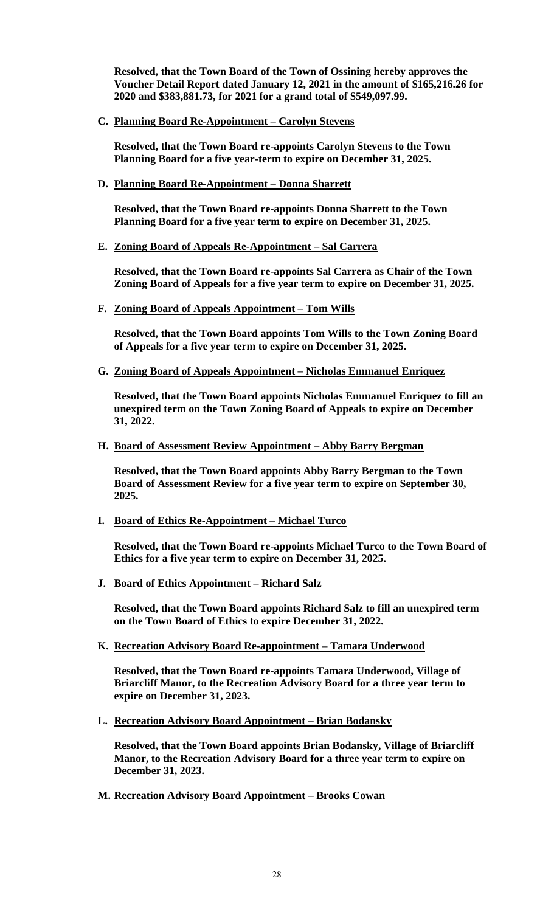**Resolved, that the Town Board of the Town of Ossining hereby approves the Voucher Detail Report dated January 12, 2021 in the amount of \$165,216.26 for 2020 and \$383,881.73, for 2021 for a grand total of \$549,097.99.**

**C. Planning Board Re-Appointment – Carolyn Stevens**

**Resolved, that the Town Board re-appoints Carolyn Stevens to the Town Planning Board for a five year-term to expire on December 31, 2025.** 

**D. Planning Board Re-Appointment – Donna Sharrett**

**Resolved, that the Town Board re-appoints Donna Sharrett to the Town Planning Board for a five year term to expire on December 31, 2025.** 

**E. Zoning Board of Appeals Re-Appointment – Sal Carrera**

**Resolved, that the Town Board re-appoints Sal Carrera as Chair of the Town Zoning Board of Appeals for a five year term to expire on December 31, 2025.** 

**F. Zoning Board of Appeals Appointment – Tom Wills**

**Resolved, that the Town Board appoints Tom Wills to the Town Zoning Board of Appeals for a five year term to expire on December 31, 2025.** 

**G. Zoning Board of Appeals Appointment – Nicholas Emmanuel Enriquez**

**Resolved, that the Town Board appoints Nicholas Emmanuel Enriquez to fill an unexpired term on the Town Zoning Board of Appeals to expire on December 31, 2022.** 

#### **H. Board of Assessment Review Appointment – Abby Barry Bergman**

**Resolved, that the Town Board appoints Abby Barry Bergman to the Town Board of Assessment Review for a five year term to expire on September 30, 2025.** 

**I. Board of Ethics Re-Appointment – Michael Turco** 

**Resolved, that the Town Board re-appoints Michael Turco to the Town Board of Ethics for a five year term to expire on December 31, 2025.**

**J. Board of Ethics Appointment – Richard Salz** 

**Resolved, that the Town Board appoints Richard Salz to fill an unexpired term on the Town Board of Ethics to expire December 31, 2022.** 

**K. Recreation Advisory Board Re-appointment – Tamara Underwood**

**Resolved, that the Town Board re-appoints Tamara Underwood, Village of Briarcliff Manor, to the Recreation Advisory Board for a three year term to expire on December 31, 2023.** 

**L. Recreation Advisory Board Appointment – Brian Bodansky**

**Resolved, that the Town Board appoints Brian Bodansky, Village of Briarcliff Manor, to the Recreation Advisory Board for a three year term to expire on December 31, 2023.** 

**M. Recreation Advisory Board Appointment – Brooks Cowan**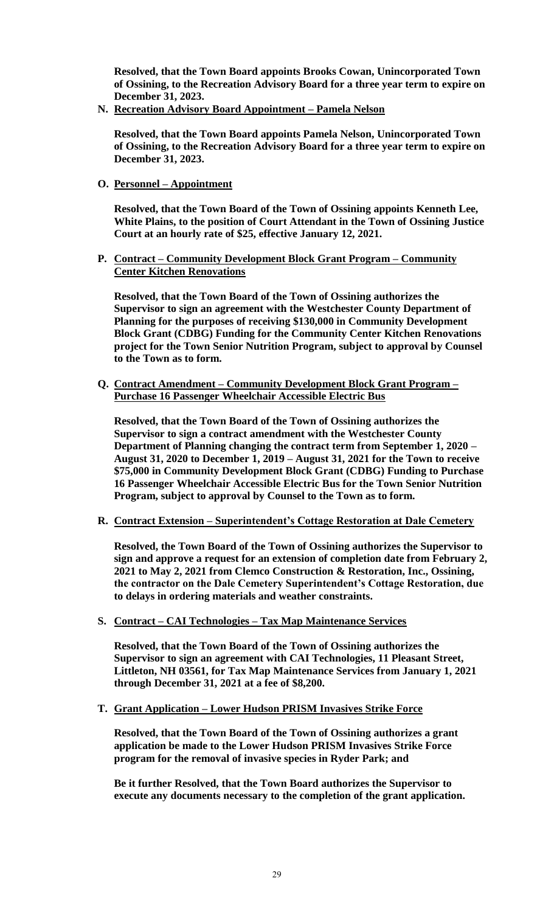**Resolved, that the Town Board appoints Brooks Cowan, Unincorporated Town of Ossining, to the Recreation Advisory Board for a three year term to expire on December 31, 2023.** 

**N. Recreation Advisory Board Appointment – Pamela Nelson**

**Resolved, that the Town Board appoints Pamela Nelson, Unincorporated Town of Ossining, to the Recreation Advisory Board for a three year term to expire on December 31, 2023.** 

**O. Personnel – Appointment**

**Resolved, that the Town Board of the Town of Ossining appoints Kenneth Lee, White Plains, to the position of Court Attendant in the Town of Ossining Justice Court at an hourly rate of \$25, effective January 12, 2021.** 

**P. Contract – Community Development Block Grant Program – Community Center Kitchen Renovations**

**Resolved, that the Town Board of the Town of Ossining authorizes the Supervisor to sign an agreement with the Westchester County Department of Planning for the purposes of receiving \$130,000 in Community Development Block Grant (CDBG) Funding for the Community Center Kitchen Renovations project for the Town Senior Nutrition Program, subject to approval by Counsel to the Town as to form.** 

**Q. Contract Amendment – Community Development Block Grant Program – Purchase 16 Passenger Wheelchair Accessible Electric Bus**

**Resolved, that the Town Board of the Town of Ossining authorizes the Supervisor to sign a contract amendment with the Westchester County Department of Planning changing the contract term from September 1, 2020 – August 31, 2020 to December 1, 2019 – August 31, 2021 for the Town to receive \$75,000 in Community Development Block Grant (CDBG) Funding to Purchase 16 Passenger Wheelchair Accessible Electric Bus for the Town Senior Nutrition Program, subject to approval by Counsel to the Town as to form.** 

**R. Contract Extension – Superintendent's Cottage Restoration at Dale Cemetery**

**Resolved, the Town Board of the Town of Ossining authorizes the Supervisor to sign and approve a request for an extension of completion date from February 2, 2021 to May 2, 2021 from Clemco Construction & Restoration, Inc., Ossining, the contractor on the Dale Cemetery Superintendent's Cottage Restoration, due to delays in ordering materials and weather constraints.** 

**S. Contract – CAI Technologies – Tax Map Maintenance Services**

**Resolved, that the Town Board of the Town of Ossining authorizes the Supervisor to sign an agreement with CAI Technologies, 11 Pleasant Street, Littleton, NH 03561, for Tax Map Maintenance Services from January 1, 2021 through December 31, 2021 at a fee of \$8,200.** 

**T. Grant Application – Lower Hudson PRISM Invasives Strike Force**

**Resolved, that the Town Board of the Town of Ossining authorizes a grant application be made to the Lower Hudson PRISM Invasives Strike Force program for the removal of invasive species in Ryder Park; and** 

**Be it further Resolved, that the Town Board authorizes the Supervisor to execute any documents necessary to the completion of the grant application.**